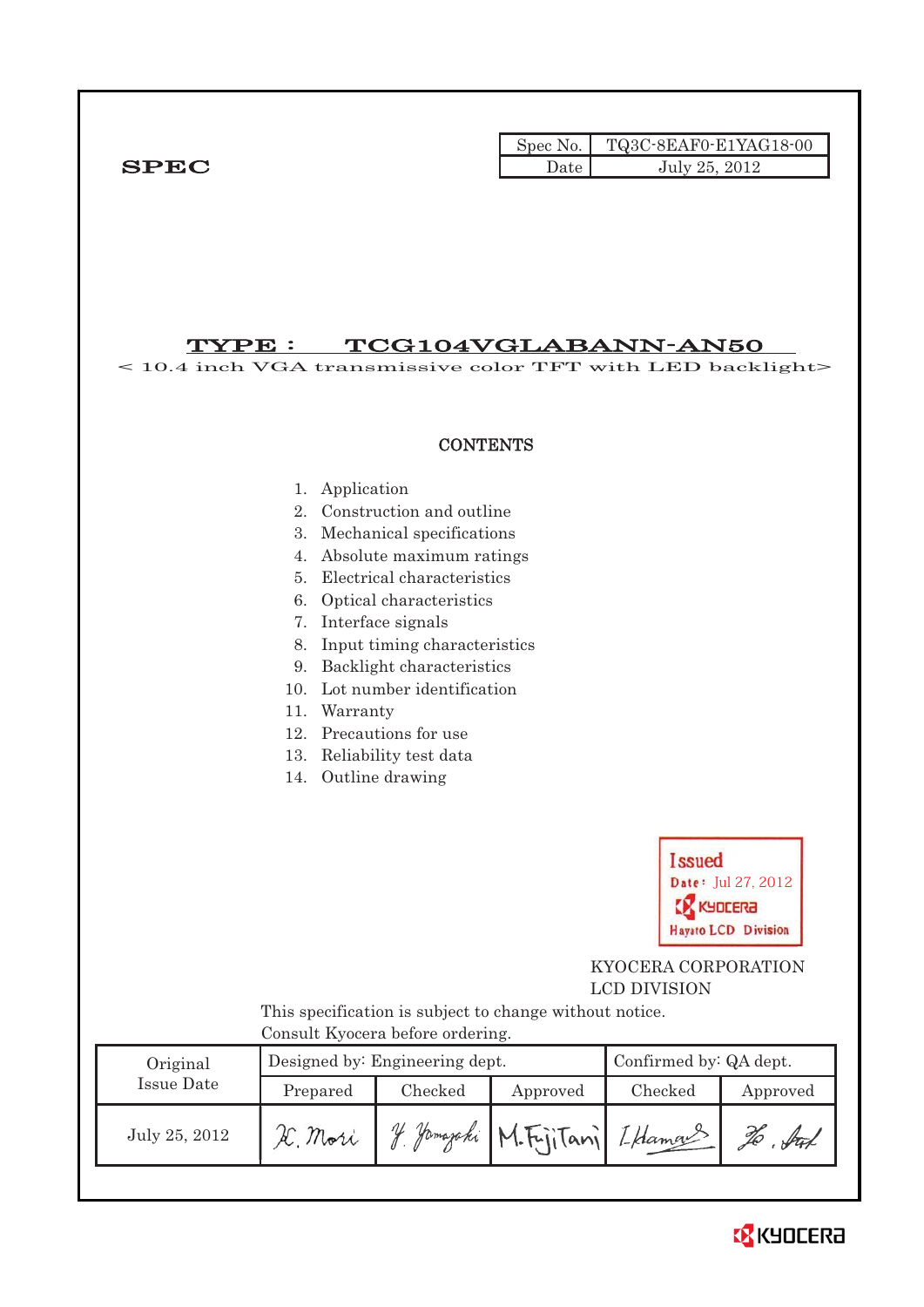|              |        | Spec No. TQ3C-8EAF0-E1YAG18-00 |
|--------------|--------|--------------------------------|
| ${\bf SPEC}$ | Date ' | July 25, 2012                  |

# TYPE : TCG104VGLABANN-AN50

< 10.4 inch VGA transmissive color TFT with LED backlight>



### 1. Application

- 2. Construction and outline
- 3. Mechanical specifications
- 4. Absolute maximum ratings
- 5. Electrical characteristics
- 6. Optical characteristics
- 7. Interface signals
- 8. Input timing characteristics
- 9. Backlight characteristics
- 10. Lot number identification
- 11. Warranty
- 12. Precautions for use
- 13. Reliability test data
- 14. Outline drawing



 KYOCERA CORPORATION LCD DIVISION

 This specification is subject to change without notice. Consult Kyocera before ordering.

| Original      |          | Designed by: Engineering dept. | Confirmed by: QA dept.     |         |          |
|---------------|----------|--------------------------------|----------------------------|---------|----------|
| Issue Date    | Prepared | Checked                        | Approved                   | Checked | Approved |
| July 25, 2012 | Mori     |                                | Hamazaki M.FrijTani LHamas |         | ful      |

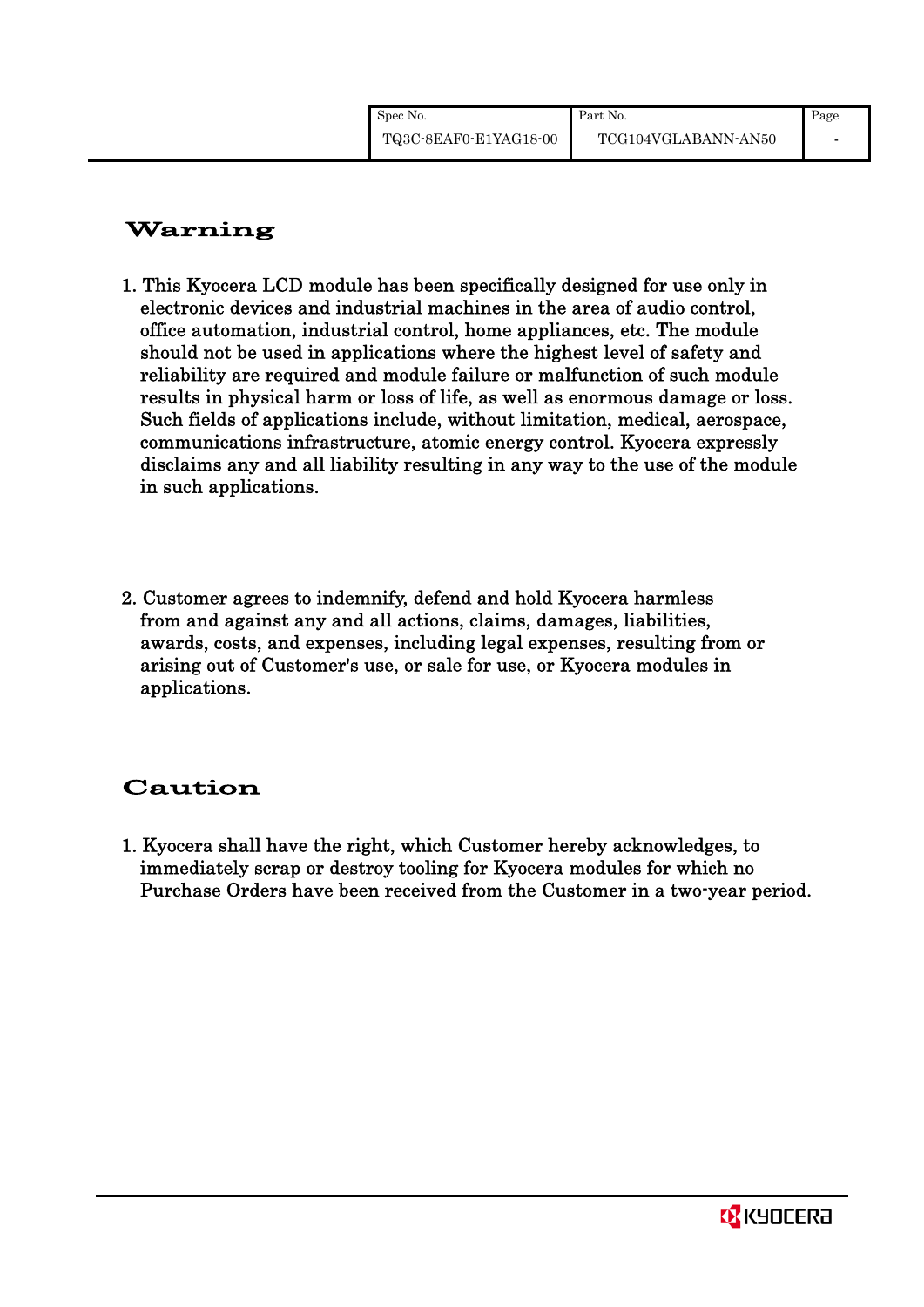# Warning

- 1. This Kyocera LCD module has been specifically designed for use only in electronic devices and industrial machines in the area of audio control, office automation, industrial control, home appliances, etc. The module should not be used in applications where the highest level of safety and reliability are required and module failure or malfunction of such module results in physical harm or loss of life, as well as enormous damage or loss. Such fields of applications include, without limitation, medical, aerospace, communications infrastructure, atomic energy control. Kyocera expressly disclaims any and all liability resulting in any way to the use of the module in such applications.
- 2. Customer agrees to indemnify, defend and hold Kyocera harmless from and against any and all actions, claims, damages, liabilities, awards, costs, and expenses, including legal expenses, resulting from or arising out of Customer's use, or sale for use, or Kyocera modules in applications.

# Caution

1. Kyocera shall have the right, which Customer hereby acknowledges, to immediately scrap or destroy tooling for Kyocera modules for which no Purchase Orders have been received from the Customer in a two-year period.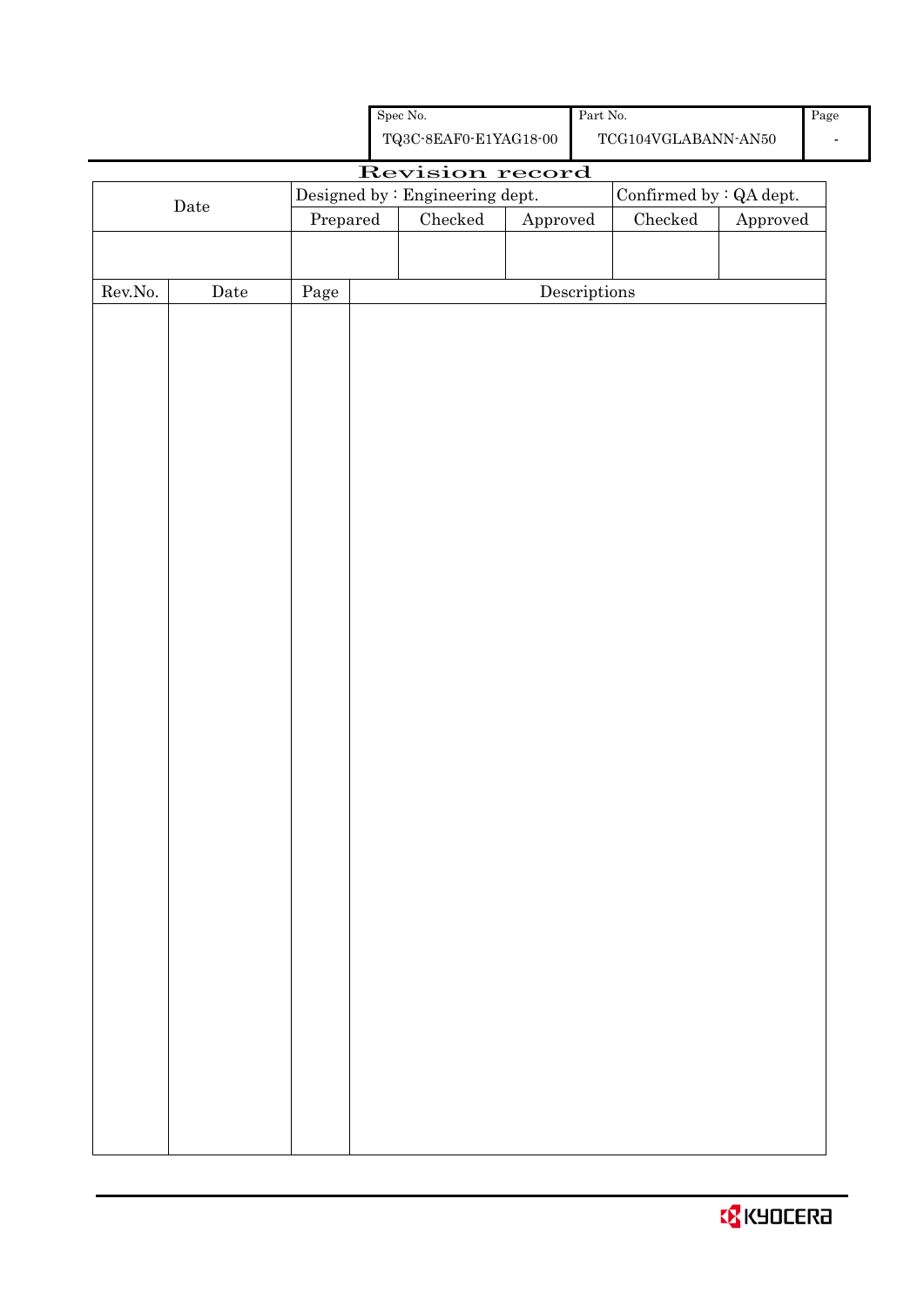| <b>CZ</b> KYOCERA |  |  |
|-------------------|--|--|
|                   |  |  |

|                  |             |                                                                                          |  | ${\bf TQ3C\text{-}SEAF0\text{-}E1YAG18\text{-}00}$ |                        |                                      | $\operatorname{TCG104VGLABANN\text{-}AN50}$ |          |
|------------------|-------------|------------------------------------------------------------------------------------------|--|----------------------------------------------------|------------------------|--------------------------------------|---------------------------------------------|----------|
|                  |             |                                                                                          |  | Revision record                                    |                        |                                      |                                             |          |
|                  | $\rm{Date}$ | $\label{eq:besigneq} \text{Designed by : Engineering dept.}$<br>Confirmed by $:QA$ dept. |  |                                                    |                        |                                      |                                             |          |
|                  |             | Prepared                                                                                 |  | $\rm Checked$                                      | ${\Large\bf Approved}$ |                                      | Checked                                     | Approved |
|                  |             |                                                                                          |  |                                                    |                        |                                      |                                             |          |
|                  |             |                                                                                          |  |                                                    |                        |                                      |                                             |          |
| ${\rm Rev. No.}$ | Date        | $\rm Page$                                                                               |  |                                                    |                        | $\label{eq:2} \textbf{Descriptions}$ |                                             |          |
|                  |             |                                                                                          |  |                                                    |                        |                                      |                                             |          |
|                  |             |                                                                                          |  |                                                    |                        |                                      |                                             |          |
|                  |             |                                                                                          |  |                                                    |                        |                                      |                                             |          |
|                  |             |                                                                                          |  |                                                    |                        |                                      |                                             |          |
|                  |             |                                                                                          |  |                                                    |                        |                                      |                                             |          |
|                  |             |                                                                                          |  |                                                    |                        |                                      |                                             |          |
|                  |             |                                                                                          |  |                                                    |                        |                                      |                                             |          |
|                  |             |                                                                                          |  |                                                    |                        |                                      |                                             |          |
|                  |             |                                                                                          |  |                                                    |                        |                                      |                                             |          |
|                  |             |                                                                                          |  |                                                    |                        |                                      |                                             |          |
|                  |             |                                                                                          |  |                                                    |                        |                                      |                                             |          |
|                  |             |                                                                                          |  |                                                    |                        |                                      |                                             |          |
|                  |             |                                                                                          |  |                                                    |                        |                                      |                                             |          |
|                  |             |                                                                                          |  |                                                    |                        |                                      |                                             |          |
|                  |             |                                                                                          |  |                                                    |                        |                                      |                                             |          |
|                  |             |                                                                                          |  |                                                    |                        |                                      |                                             |          |
|                  |             |                                                                                          |  |                                                    |                        |                                      |                                             |          |
|                  |             |                                                                                          |  |                                                    |                        |                                      |                                             |          |
|                  |             |                                                                                          |  |                                                    |                        |                                      |                                             |          |
|                  |             |                                                                                          |  |                                                    |                        |                                      |                                             |          |
|                  |             |                                                                                          |  |                                                    |                        |                                      |                                             |          |
|                  |             |                                                                                          |  |                                                    |                        |                                      |                                             |          |
|                  |             |                                                                                          |  |                                                    |                        |                                      |                                             |          |
|                  |             |                                                                                          |  |                                                    |                        |                                      |                                             |          |
|                  |             |                                                                                          |  |                                                    |                        |                                      |                                             |          |
|                  |             |                                                                                          |  |                                                    |                        |                                      |                                             |          |
|                  |             |                                                                                          |  |                                                    |                        |                                      |                                             |          |
|                  |             |                                                                                          |  |                                                    |                        |                                      |                                             |          |
|                  |             |                                                                                          |  |                                                    |                        |                                      |                                             |          |
|                  |             |                                                                                          |  |                                                    |                        |                                      |                                             |          |
|                  |             |                                                                                          |  |                                                    |                        |                                      |                                             |          |
|                  |             |                                                                                          |  |                                                    |                        |                                      |                                             |          |
|                  |             |                                                                                          |  |                                                    |                        |                                      |                                             |          |
|                  |             |                                                                                          |  |                                                    |                        |                                      |                                             |          |

Spec No.

Part No.

-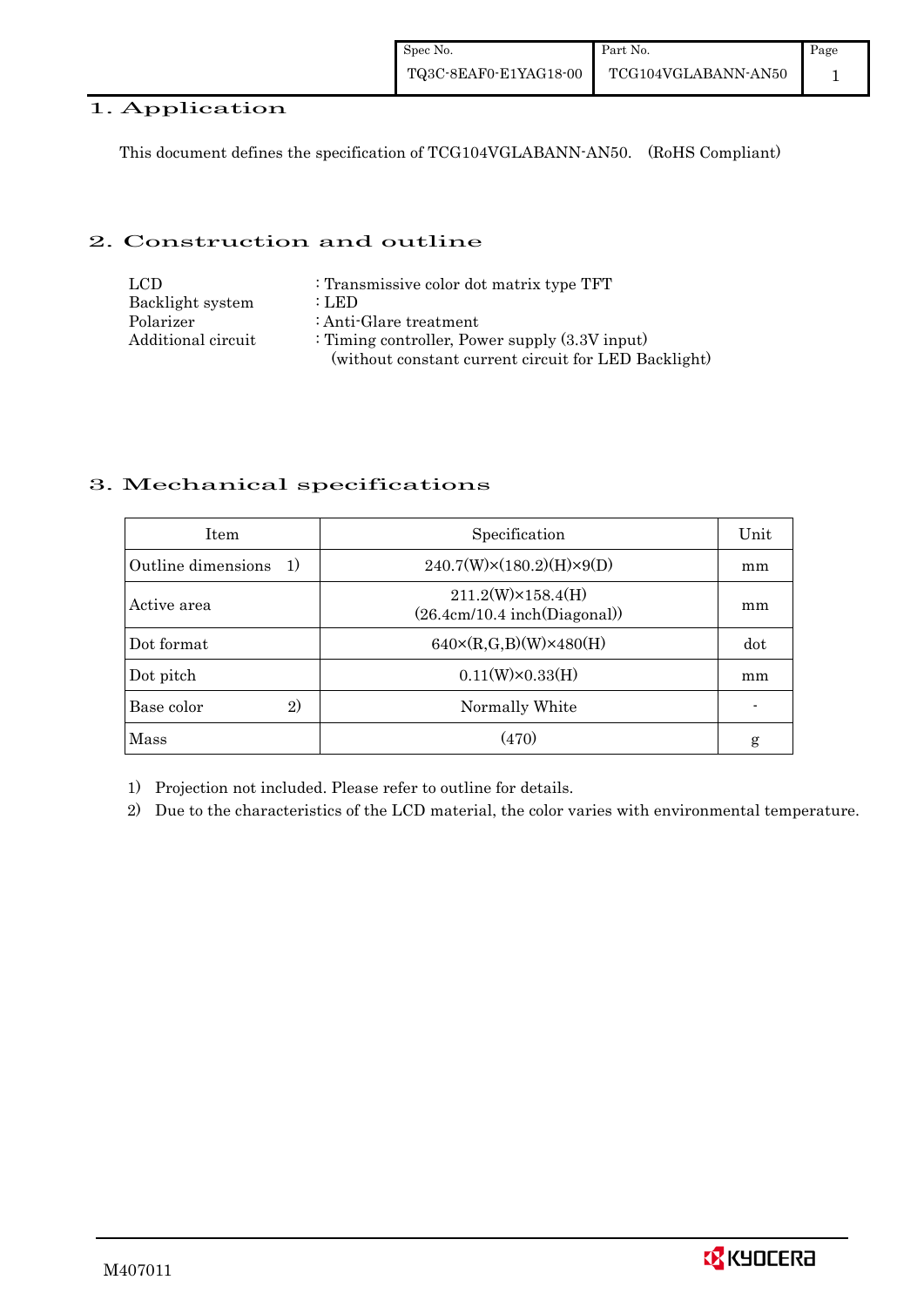| Spec No.              | Part No.            | Page |
|-----------------------|---------------------|------|
| TQ3C-8EAF0-E1YAG18-00 | TCG104VGLABANN-AN50 |      |

## 1. Application

This document defines the specification of TCG104VGLABANN-AN50. (RoHS Compliant)

#### 2. Construction and outline

| LCD.               | : Transmissive color dot matrix type TFT             |
|--------------------|------------------------------------------------------|
| Backlight system   | : LED                                                |
| Polarizer          | : Anti-Glare treatment                               |
| Additional circuit | : Timing controller, Power supply $(3.3V)$ input)    |
|                    | (without constant current circuit for LED Backlight) |

### 3. Mechanical specifications

| <b>Item</b>                | Specification                                             | Unit |
|----------------------------|-----------------------------------------------------------|------|
| Outline dimensions<br>1)   | $240.7(W)\times(180.2)(H)\times9(D)$                      | mm   |
| Active area                | $211.2(W)\times 158.4(H)$<br>(26.4cm/10.4 inch(Diagonal)) | mm   |
| Dot format                 | $640 \times (R,G,B)(W) \times 480(H)$                     | dot  |
| Dot pitch                  | $0.11(W)\times0.33(H)$                                    | mm   |
| Base color<br>$\mathbf{2}$ | Normally White                                            |      |
| Mass                       | (470)                                                     | g    |

1) Projection not included. Please refer to outline for details.

2) Due to the characteristics of the LCD material, the color varies with environmental temperature.

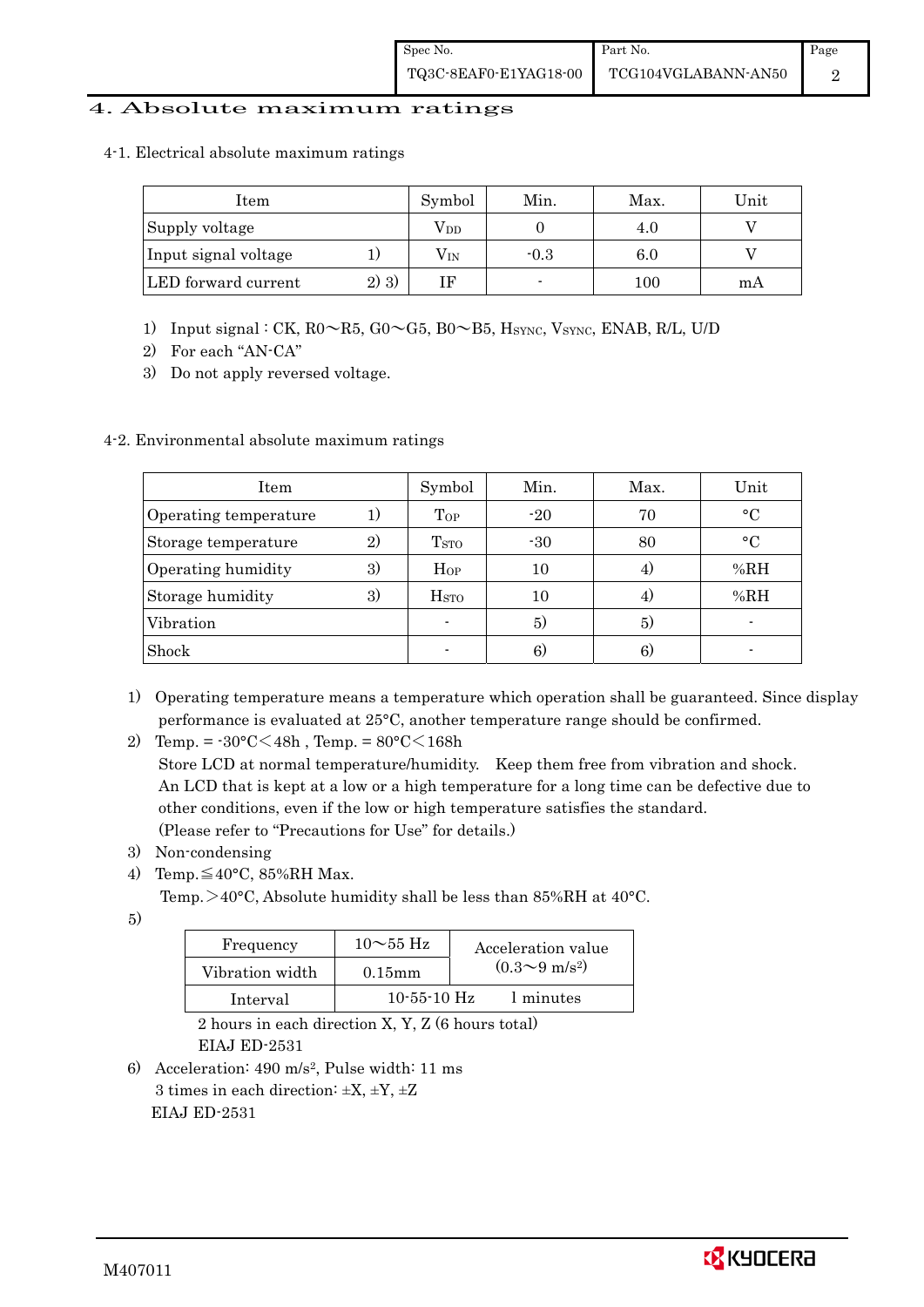## 4. Absolute maximum ratings

4-1. Electrical absolute maximum ratings

| Item                 |         | Symbol       | Min.   | Max. | Unit |
|----------------------|---------|--------------|--------|------|------|
| Supply voltage       |         | $\rm V_{DD}$ |        | 4.0  |      |
| Input signal voltage |         | $\rm V_{IN}$ | $-0.3$ | 6.0  |      |
| LED forward current  | $2)$ 3) |              |        | 100  | m A  |

- 1) Input signal : CK, R0~R5, G0~G5, B0~B5, HSYNC, VSYNC, ENAB, R/L, U/D
- 2) For each "AN-CA"
- 3) Do not apply reversed voltage.

## 4-2. Environmental absolute maximum ratings

| Item                  |    | Symbol             | Min.  | Max. | Unit        |
|-----------------------|----|--------------------|-------|------|-------------|
| Operating temperature | 1) | Top                | $-20$ | 70   | $\circ$ C   |
| Storage temperature   | 2) | T <sub>STO</sub>   | $-30$ | 80   | $^{\circ}C$ |
| Operating humidity    | 3) | $H_{OP}$           | 10    |      | %RH         |
| Storage humidity      | 3) | $_{\mathrm{HSTO}}$ | 10    | 4.   | %RH         |
| Vibration             |    |                    | 5)    | 5)   |             |
| Shock                 |    |                    | 6)    | 6)   |             |

- 1) Operating temperature means a temperature which operation shall be guaranteed. Since display performance is evaluated at 25°C, another temperature range should be confirmed.
- 2) Temp. =  $-30^{\circ}$ C $<$ 48h, Temp. =  $80^{\circ}$ C $<$ 168h

 Store LCD at normal temperature/humidity. Keep them free from vibration and shock. An LCD that is kept at a low or a high temperature for a long time can be defective due to other conditions, even if the low or high temperature satisfies the standard. (Please refer to "Precautions for Use" for details.)

- 3) Non-condensing
- 4) Temp. $\leq 40^{\circ}$ C, 85%RH Max.
	- Temp.  $>40^{\circ}$ C, Absolute humidity shall be less than 85%RH at 40 $^{\circ}$ C.

5)

| Frequency       | $10\sim$ 55 Hz | Acceleration value           |
|-----------------|----------------|------------------------------|
| Vibration width | $0.15$ mm      | $(0.3 \sim 9 \text{ m/s}^2)$ |
| Interval        | $10-55-10$ Hz  | 1 minutes                    |

 2 hours in each direction X, Y, Z (6 hours total) EIAJ ED-2531

6) Acceleration: 490 m/s2, Pulse width: 11 ms 3 times in each direction:  $\pm X$ ,  $\pm Y$ ,  $\pm Z$ EIAJ ED-2531

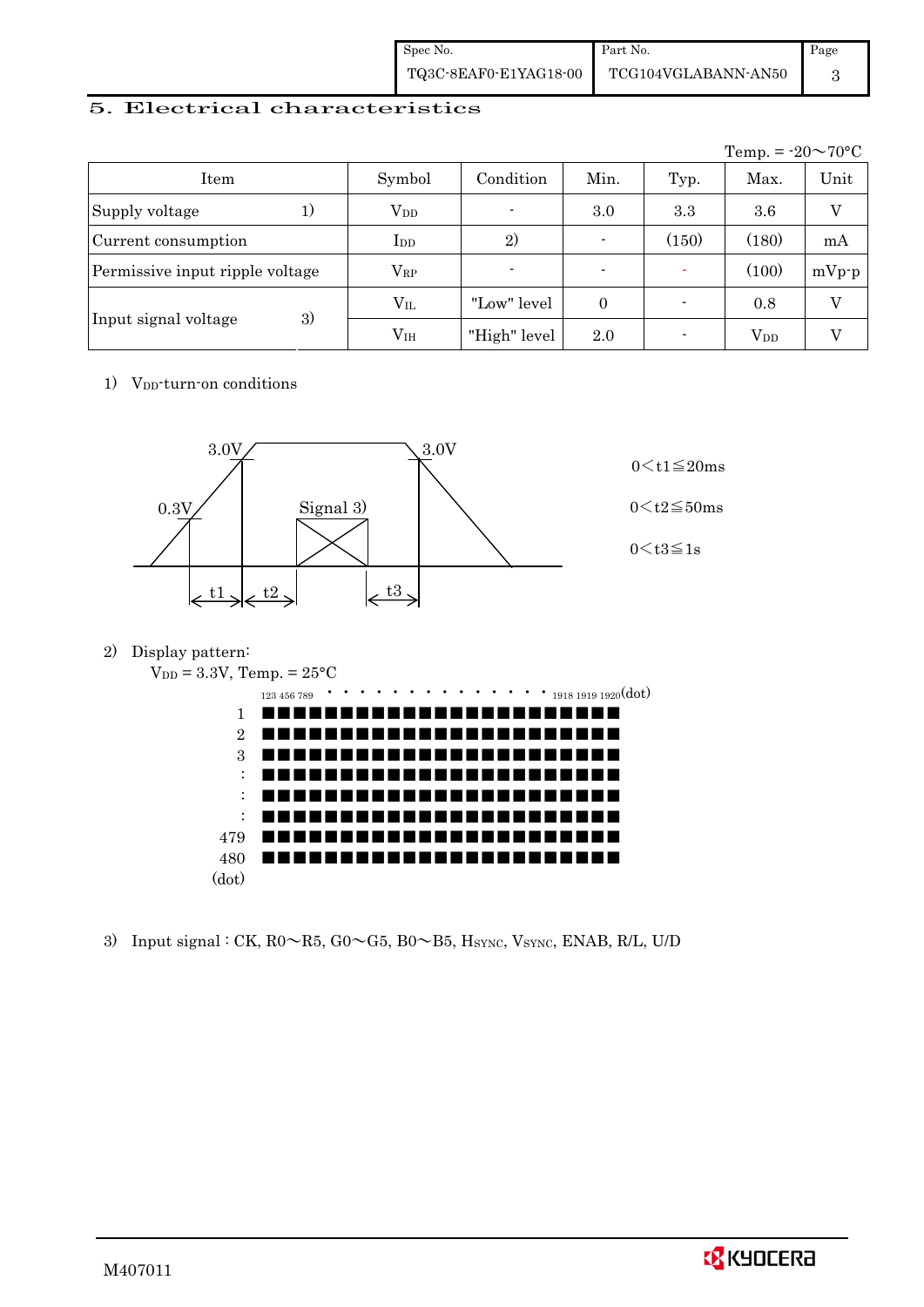| Spec No.              | Part No.            | Page |
|-----------------------|---------------------|------|
| TQ3C-8EAF0-E1YAG18-00 | TCG104VGLABANN-AN50 |      |

## 5. Electrical characteristics

|                                 |               |                |                          |       | Temp. = $-20 \sim 70$ °C |         |
|---------------------------------|---------------|----------------|--------------------------|-------|--------------------------|---------|
| Item                            | Symbol        | Condition      | Min.                     | Typ.  | Max.                     | Unit    |
| Supply voltage<br>1)            | $\rm V_{DD}$  | $\blacksquare$ | 3.0                      | 3.3   | 3.6                      | V       |
| Current consumption             | $_{\rm{LDD}}$ | 2)             | $\overline{\phantom{0}}$ | (150) | (180)                    | mA      |
| Permissive input ripple voltage | $\rm V_{RP}$  | $\blacksquare$ |                          |       | (100)                    | $mVp-p$ |
|                                 | $V_{IL}$      | "Low" level    | $\theta$                 |       | 0.8                      | $\rm V$ |
| 3)<br>Input signal voltage      | $\rm V_{IH}$  | "High" level   | 2.0                      |       | $V_{DD}$                 |         |

1) V<sub>DD</sub>-turn-on conditions



2) Display pattern:



3) Input signal : CK,  $R0 \sim R5$ ,  $G0 \sim G5$ ,  $B0 \sim B5$ , HSYNC, VSYNC, ENAB, R/L, U/D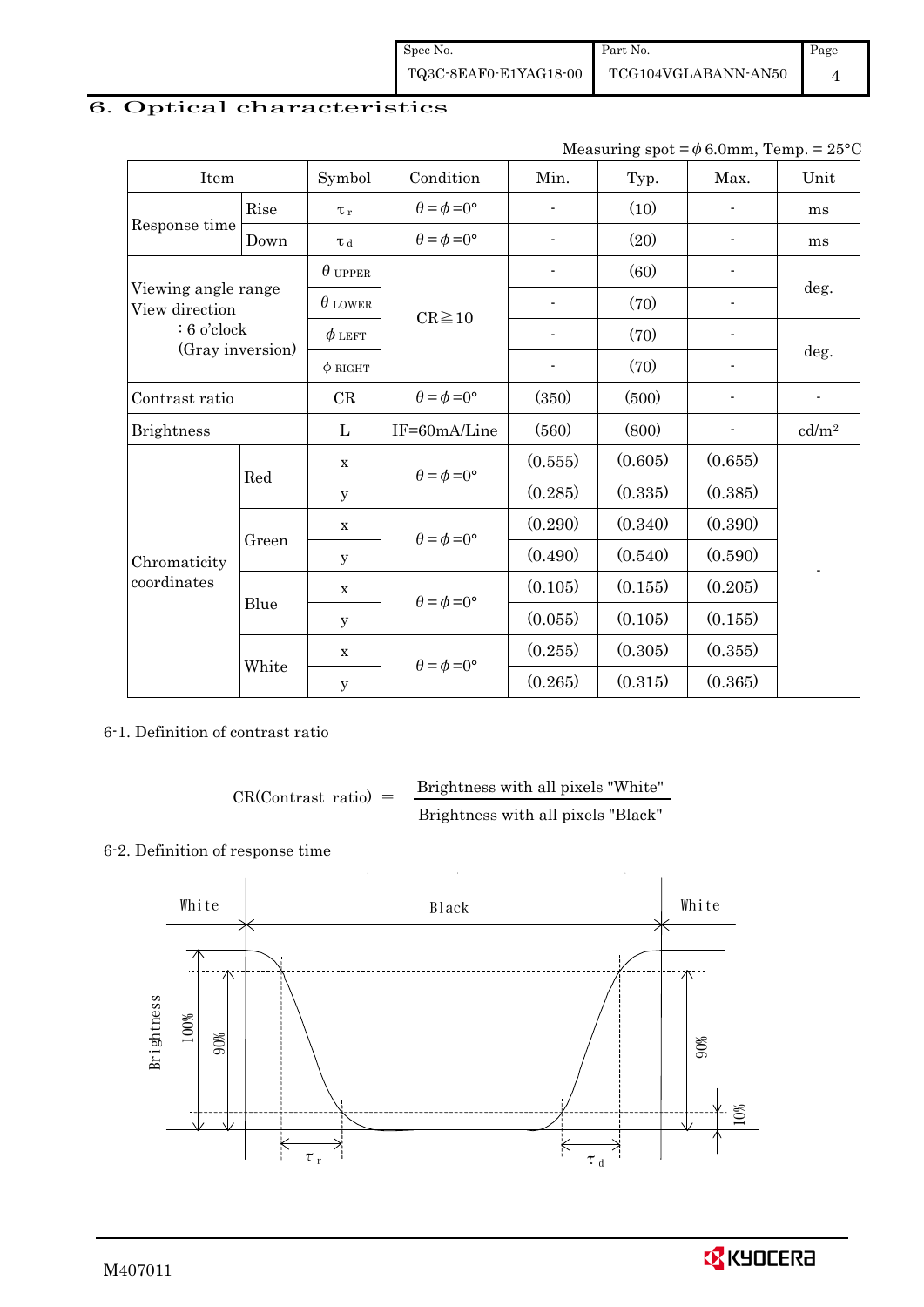Spec No. TQ3C-8EAF0-E1YAG18-00 Part No. TCG104VGLABANN-AN50 Page 4

# 6. Optical characteristics

| Measuring spot = $\phi$ 6.0mm, Temp. = 25°C |
|---------------------------------------------|
|---------------------------------------------|

| Item                                  |       | Symbol         | Condition                   | Min.                     | Typ.    | Max.                     | Unit              |
|---------------------------------------|-------|----------------|-----------------------------|--------------------------|---------|--------------------------|-------------------|
|                                       | Rise  | $\tau_r$       | $\theta = \phi = 0^{\circ}$ |                          | (10)    |                          | ms                |
| Response time                         | Down  | T d            | $\theta = \phi = 0^{\circ}$ |                          | (20)    |                          | ms                |
|                                       |       | $\theta$ upper |                             |                          | (60)    |                          |                   |
| Viewing angle range<br>View direction |       | $\theta$ LOWER | $CR \ge 10$                 |                          | (70)    |                          | deg.              |
| $: 6$ o'clock                         |       | $\phi$ left    |                             |                          | (70)    |                          |                   |
| (Gray inversion)                      |       | $\phi$ RIGHT   |                             | $\overline{\phantom{a}}$ | (70)    | $\overline{\phantom{a}}$ | deg.              |
| Contrast ratio                        |       | CR             | $\theta = \phi = 0^{\circ}$ | (350)                    | (500)   |                          |                   |
| <b>Brightness</b>                     |       | L              | IF=60mA/Line                | (560)                    | (800)   |                          | cd/m <sup>2</sup> |
|                                       |       | $\mathbf X$    | $\theta = \phi = 0^{\circ}$ | (0.555)                  | (0.605) | (0.655)                  |                   |
|                                       | Red   | У              |                             | (0.285)                  | (0.335) | (0.385)                  |                   |
|                                       | Green | $\mathbf X$    | $\theta = \phi = 0^{\circ}$ | (0.290)                  | (0.340) | (0.390)                  |                   |
| Chromaticity                          |       | у              |                             | (0.490)                  | (0.540) | (0.590)                  |                   |
| $coordinates$                         | Blue  | $\mathbf X$    | $\theta = \phi = 0^{\circ}$ | (0.105)                  | (0.155) | (0.205)                  |                   |
|                                       |       | у              |                             | (0.055)                  | (0.105) | (0.155)                  |                   |
|                                       | White | $\mathbf X$    | $\theta = \phi = 0^{\circ}$ | (0.255)                  | (0.305) | (0.355)                  |                   |
|                                       |       | $\mathbf y$    |                             | (0.265)                  | (0.315) | (0.365)                  |                   |

6-1. Definition of contrast ratio

$$
CR(Contrast ratio) = \frac{Brightness with all pixels "White"}
$$
  
Brightness with all pixels "Black"

### 6-2. Definition of response time

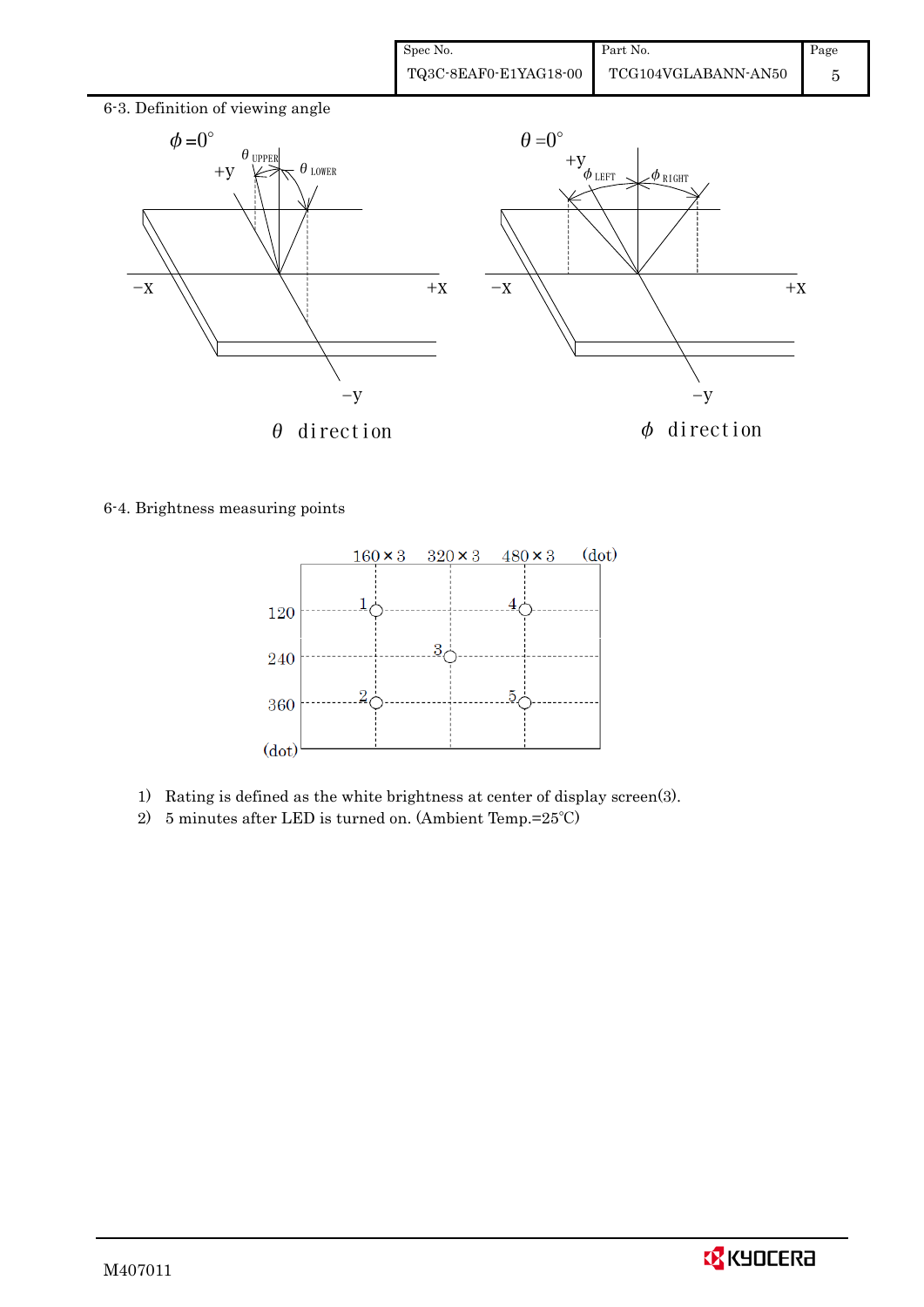| Spec No.              | Part No.            | Page |
|-----------------------|---------------------|------|
| TQ3C-8EAF0-E1YAG18-00 | TCG104VGLABANN-AN50 |      |



6-4. Brightness measuring points



- 1) Rating is defined as the white brightness at center of display screen(3).
- 2) 5 minutes after LED is turned on. (Ambient Temp.=25℃)

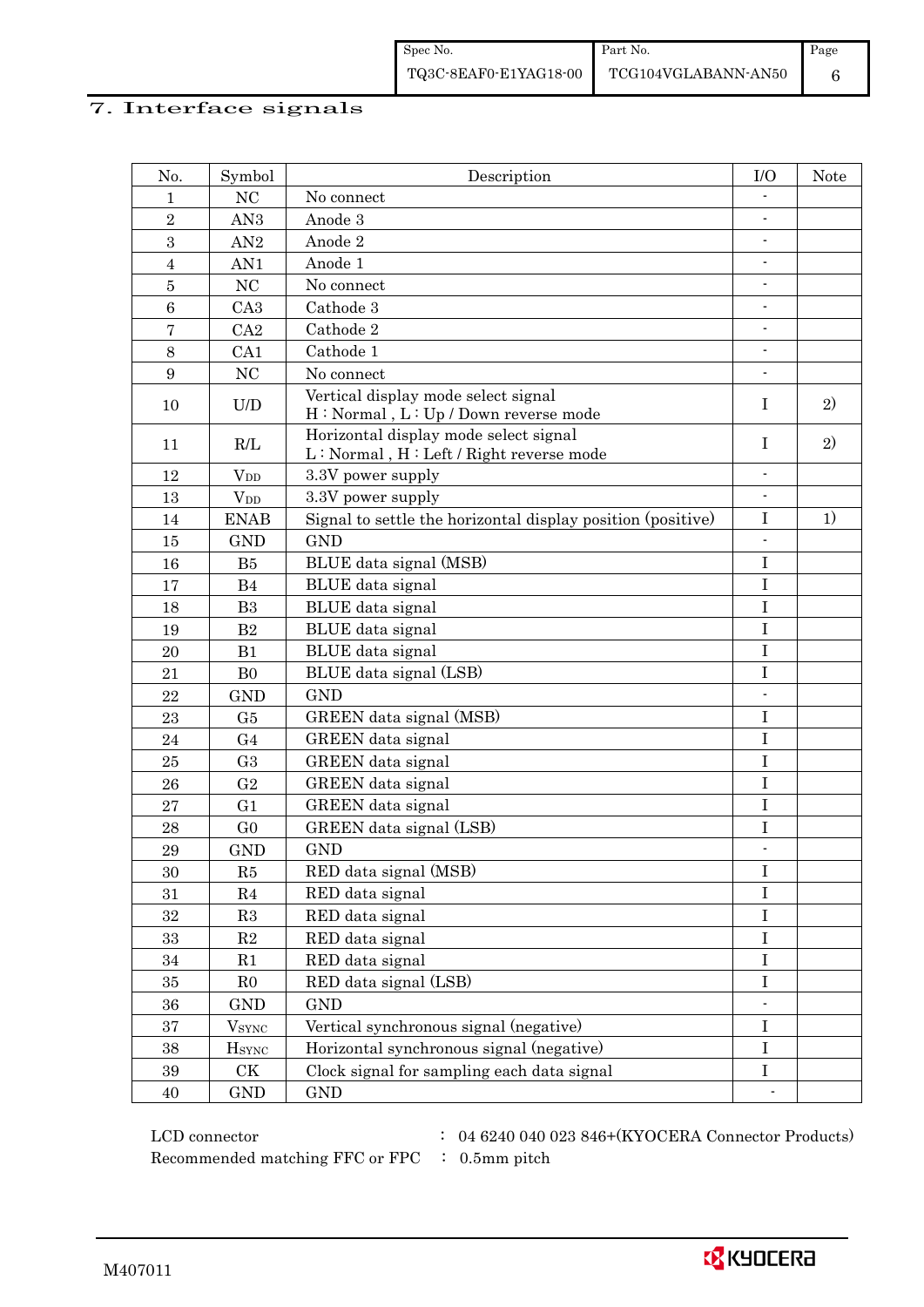# 7. Interface signals

| No.             | Symbol                                                   | Description                                                                                                                                   | I/O                      | Note |
|-----------------|----------------------------------------------------------|-----------------------------------------------------------------------------------------------------------------------------------------------|--------------------------|------|
| 1               | NC                                                       | No connect                                                                                                                                    |                          |      |
| $\overline{2}$  | AN <sub>3</sub>                                          | Anode 3                                                                                                                                       | $\overline{\phantom{0}}$ |      |
| 3               | AN2                                                      | Anode 2                                                                                                                                       |                          |      |
| $\overline{4}$  | AN1                                                      | Anode 1                                                                                                                                       |                          |      |
| $\bf 5$         | NC                                                       | No connect                                                                                                                                    | $\blacksquare$           |      |
| 6               | CA3                                                      | Cathode 3                                                                                                                                     |                          |      |
| 7               | CA2                                                      | Cathode 2                                                                                                                                     | $\overline{\phantom{a}}$ |      |
| 8               | CA1                                                      | Cathode 1                                                                                                                                     | $\overline{\phantom{0}}$ |      |
| $9\phantom{.0}$ | NC                                                       | No connect                                                                                                                                    |                          |      |
| 10              | $\ensuremath{\mathrm{U}}\xspace/\ensuremath{\mathrm{D}}$ | Vertical display mode select signal<br>H: Normal, L: Up / Down reverse mode                                                                   | I                        | 2)   |
| 11              | R/L                                                      | Horizontal display mode select signal<br>$\mathbf{L} : \mathbf{Normal}$ , $\mathbf{H} : \mathbf{Left} \mathop{/} \mathbf{Right}$ reverse mode | $\mathbf I$              | 2)   |
| 12              | $V_{DD}$                                                 | 3.3V power supply                                                                                                                             | $\overline{a}$           |      |
| 13              | $V_{DD}$                                                 | 3.3V power supply                                                                                                                             | $\overline{\phantom{a}}$ |      |
| 14              | <b>ENAB</b>                                              | Signal to settle the horizontal display position (positive)                                                                                   | $\rm I$                  | 1)   |
| 15              | <b>GND</b>                                               | <b>GND</b>                                                                                                                                    |                          |      |
| 16              | B5                                                       | BLUE data signal (MSB)                                                                                                                        | $\bf I$                  |      |
| 17              | B <sub>4</sub>                                           | BLUE data signal                                                                                                                              | $\bf I$                  |      |
| 18              | B3                                                       | BLUE data signal                                                                                                                              | $\rm I$                  |      |
| 19              | B <sub>2</sub>                                           | BLUE data signal                                                                                                                              | $\bf I$                  |      |
| 20              | B1                                                       | BLUE data signal                                                                                                                              | $\mathbf I$              |      |
| 21              | B <sub>0</sub>                                           | BLUE data signal (LSB)                                                                                                                        | I                        |      |
| 22              | <b>GND</b>                                               | <b>GND</b>                                                                                                                                    | $\blacksquare$           |      |
| 23              | G5                                                       | GREEN data signal (MSB)                                                                                                                       | I                        |      |
| 24              | G <sub>4</sub>                                           | GREEN data signal                                                                                                                             | $\bf I$                  |      |
| 25              | G <sub>3</sub>                                           | GREEN data signal                                                                                                                             | $\mathbf I$              |      |
| 26              | G <sub>2</sub>                                           | GREEN data signal                                                                                                                             | $\rm I$                  |      |
| 27              | G <sub>1</sub>                                           | GREEN data signal                                                                                                                             | $\rm I$                  |      |
| 28              | G <sub>0</sub>                                           | GREEN data signal (LSB)                                                                                                                       | I                        |      |
| 29              | <b>GND</b>                                               | <b>GND</b>                                                                                                                                    | $\blacksquare$           |      |
| 30              | R5                                                       | RED data signal (MSB)                                                                                                                         | $\rm I$                  |      |
| 31              | R4                                                       | RED data signal                                                                                                                               | $\rm I$                  |      |
| $32\,$          | R3                                                       | RED data signal                                                                                                                               | $\rm I$                  |      |
| 33              | R2                                                       | RED data signal                                                                                                                               | $\rm I$                  |      |
| 34              | R1                                                       | RED data signal                                                                                                                               | $\mathbf I$              |      |
| 35              | R <sub>0</sub>                                           | RED data signal (LSB)                                                                                                                         | $\bf I$                  |      |
| 36              | GND                                                      | <b>GND</b>                                                                                                                                    |                          |      |
| 37              | $V_{\rm SYNC}$                                           | Vertical synchronous signal (negative)                                                                                                        | $\bf I$                  |      |
| 38              | $H_{\rm SYNC}$                                           | Horizontal synchronous signal (negative)                                                                                                      | $\mathbf I$              |      |
| 39              | CK                                                       | Clock signal for sampling each data signal                                                                                                    | $\bf I$                  |      |
| 40              | GND                                                      | <b>GND</b>                                                                                                                                    | $\overline{\phantom{a}}$ |      |

 $\rm LCD~connector ~~:~~04~6240~040~023~846+ (KYOCERA~Connector~Products)$ 

Recommended matching FFC or FPC : 0.5mm pitch

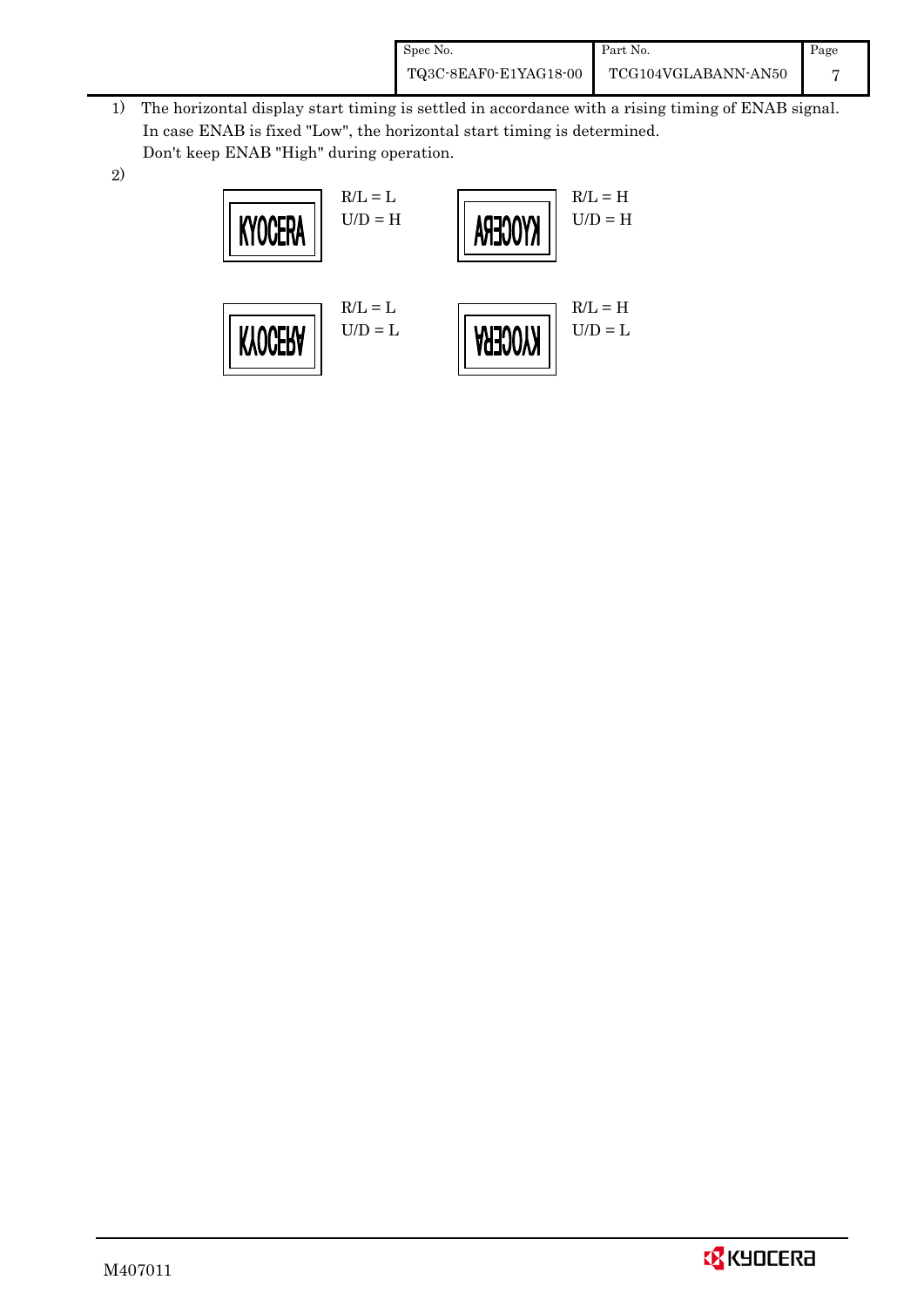| Spec No.              | Part No.            | Page |
|-----------------------|---------------------|------|
| TQ3C-8EAF0-E1YAG18-00 | TCG104VGLABANN-AN50 |      |

- 1) The horizontal display start timing is settled in accordance with a rising timing of ENAB signal. In case ENAB is fixed "Low", the horizontal start timing is determined. Don't keep ENAB "High" during operation.
- 2)

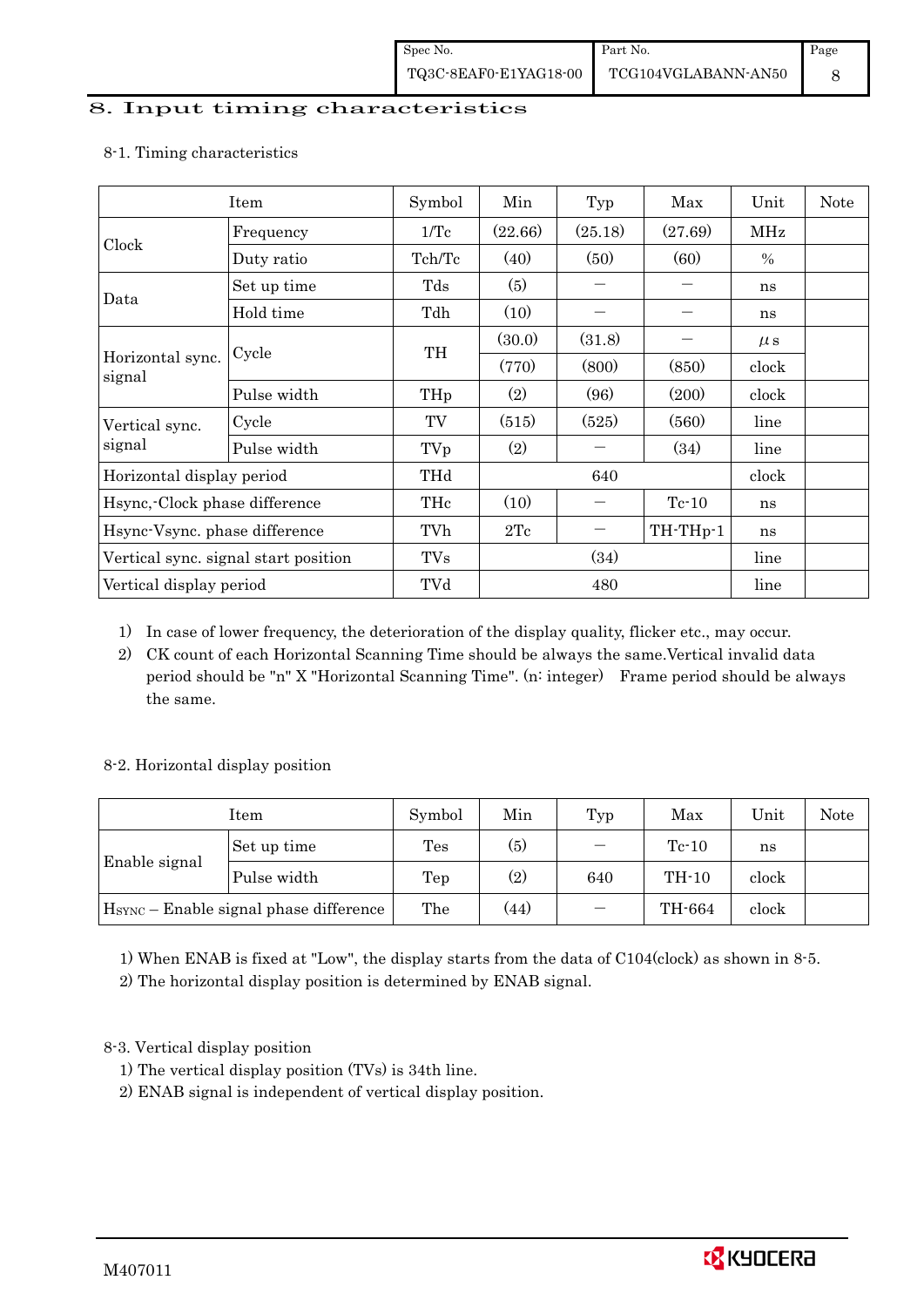### 8. Input timing characteristics

|                                      | Item        | Symbol | Min     | Typ     | Max      | Unit    | <b>Note</b> |
|--------------------------------------|-------------|--------|---------|---------|----------|---------|-------------|
|                                      | Frequency   | 1/Tc   | (22.66) | (25.18) | (27.69)  | MHz     |             |
| Clock                                | Duty ratio  | Tch/Tc | (40)    | (50)    | (60)     | $\%$    |             |
|                                      | Set up time | Tds    | (5)     |         |          | ns      |             |
| Data                                 | Hold time   | Tdh    | (10)    |         |          | ns      |             |
| Horizontal sync.<br>signal           |             | TH     | (30.0)  | (31.8)  |          | $\mu$ s |             |
|                                      | Cycle       |        | (770)   | (800)   | (850)    | clock   |             |
|                                      | Pulse width | THp    | (2)     | (96)    | (200)    | clock   |             |
| Vertical sync.                       | Cycle       | TV     | (515)   | (525)   | (560)    | line    |             |
| signal                               | Pulse width | TVp    | (2)     |         | (34)     | line    |             |
| Horizontal display period            |             | THd    |         | 640     |          | clock   |             |
| Hsync, Clock phase difference        |             | THc    | (10)    |         | $Tc-10$  | ns      |             |
| Hsync-Vsync. phase difference        |             | TVh    | 2Tc     |         | TH-THp-1 | ns      |             |
| Vertical sync. signal start position |             | TVs    | (34)    |         |          | line    |             |
| Vertical display period              |             | TVd    | 480     |         |          | line    |             |

#### 8-1. Timing characteristics

1) In case of lower frequency, the deterioration of the display quality, flicker etc., may occur.

2) CK count of each Horizontal Scanning Time should be always the same.Vertical invalid data period should be "n" X "Horizontal Scanning Time". (n: integer) Frame period should be always the same.

## 8-2. Horizontal display position

|                                                    | Item        | Symbol | Min | Typ    | Max     | Unit  | Note |
|----------------------------------------------------|-------------|--------|-----|--------|---------|-------|------|
| Enable signal                                      | Set up time | Tes    | (5) |        | $Tc-10$ | ns    |      |
|                                                    | Pulse width | Tep    | (2) | 640    | $TH-10$ | clock |      |
| H <sub>SYNC</sub> - Enable signal phase difference | The         | (44)   |     | TH-664 | clock   |       |      |

1) When ENAB is fixed at "Low", the display starts from the data of C104(clock) as shown in 8-5.

2) The horizontal display position is determined by ENAB signal.

## 8-3. Vertical display position

- 1) The vertical display position (TVs) is 34th line.
- 2) ENAB signal is independent of vertical display position.

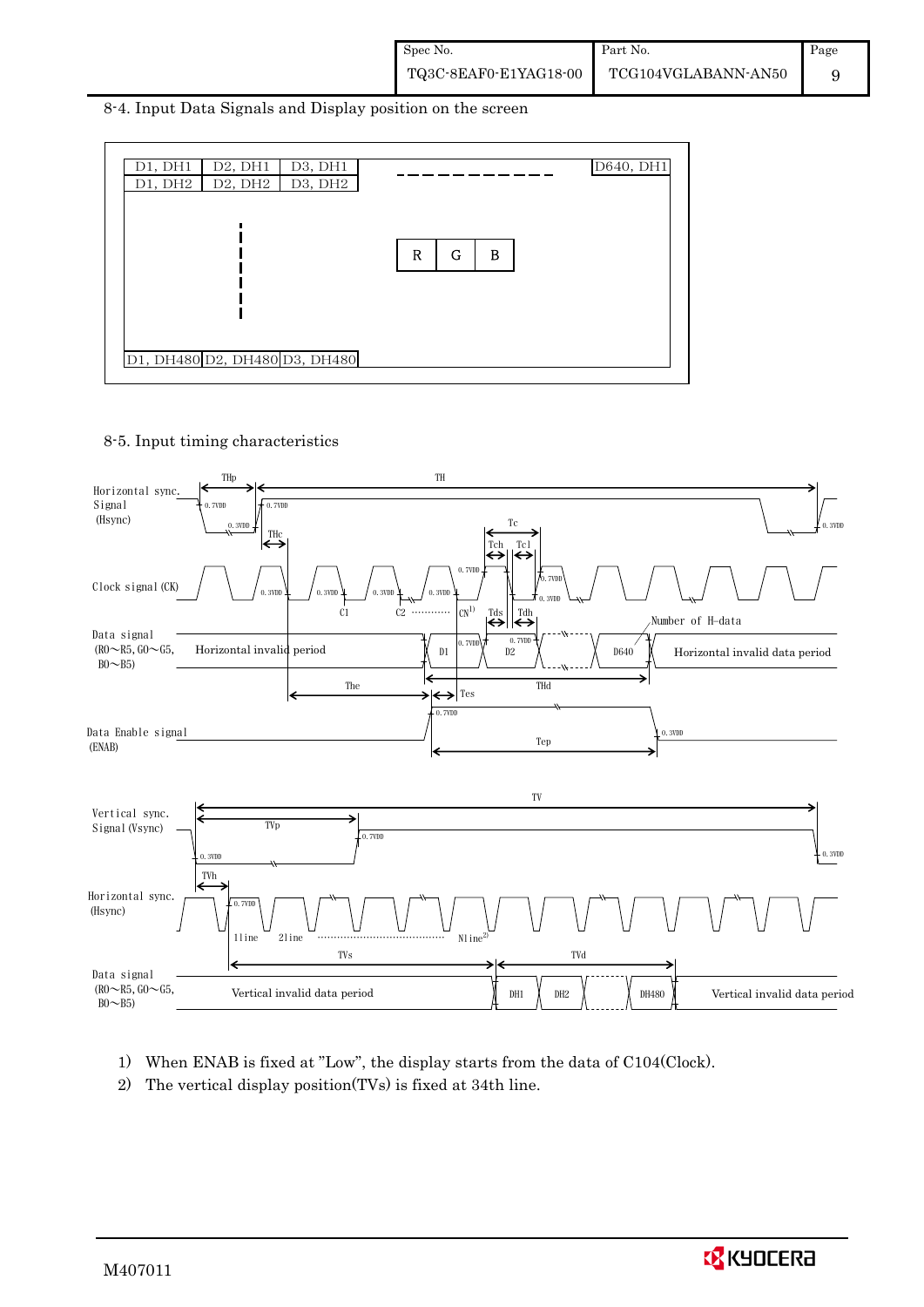8-4. Input Data Signals and Display position on the screen



8-5. Input timing characteristics



- 1) When ENAB is fixed at "Low", the display starts from the data of C104(Clock).
- 2) The vertical display position(TVs) is fixed at 34th line.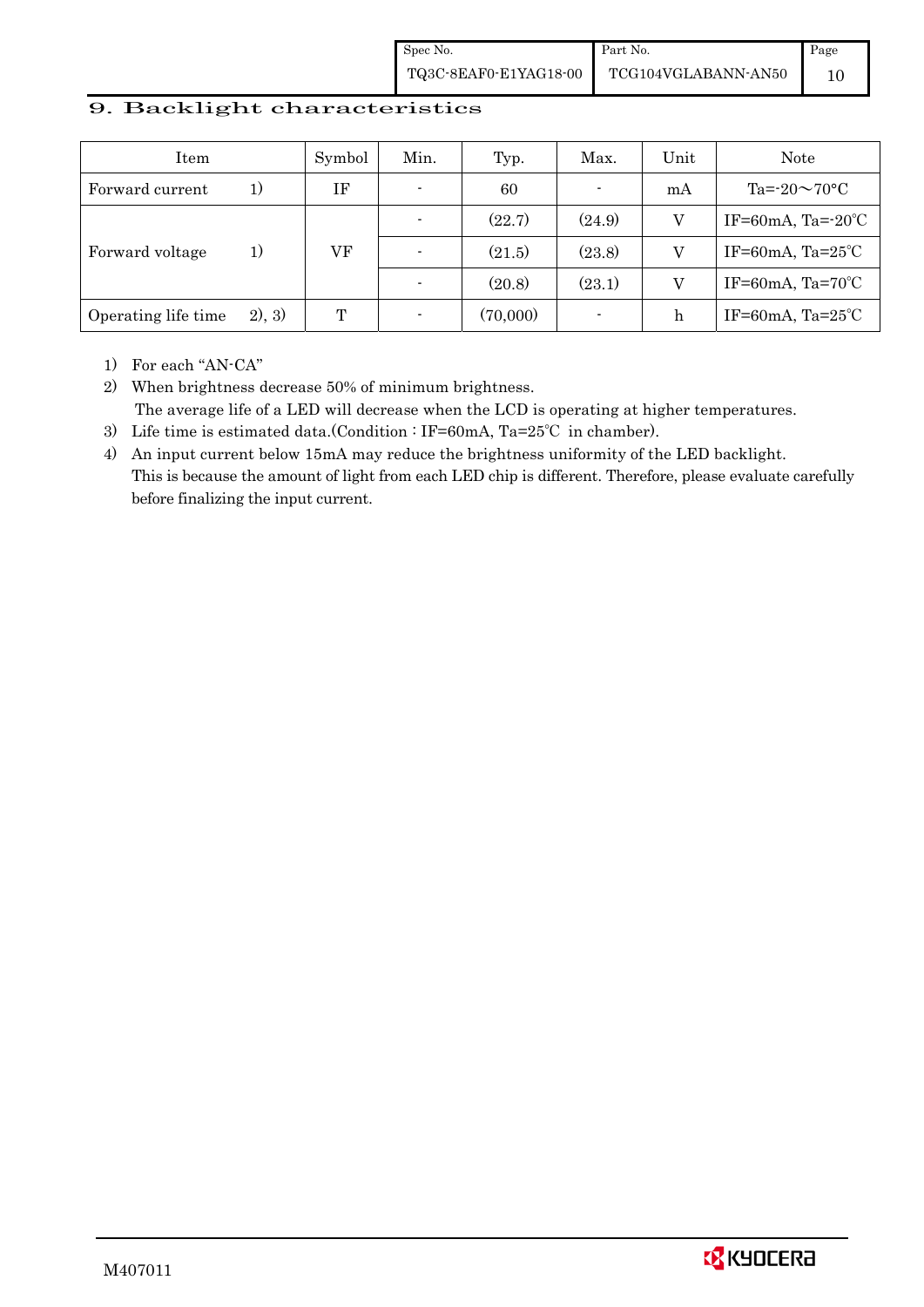Spec No. TQ3C-8EAF0-E1YAG18-00 Part No. TCG104VGLABANN-AN50 Page 10

### 9. Backlight characteristics

| Item                |         | Symbol | Min. | Typ.     | Max.           | Unit | Note                         |
|---------------------|---------|--------|------|----------|----------------|------|------------------------------|
| Forward current     | 1)      | ΙF     |      | 60       | $\blacksquare$ | mA   | Ta= $-20\sim70$ °C           |
|                     |         |        |      | (22.7)   | (24.9)         |      | IF=60mA, Ta= $-20^{\circ}$ C |
| Forward voltage     | 1)      | VF     |      | (21.5)   | (23.8)         |      | IF=60mA, $Ta=25^{\circ}C$    |
|                     |         |        |      | (20.8)   | (23.1)         | V    | IF=60mA, $Ta=70^{\circ}C$    |
| Operating life time | (2), 3) | Т      |      | (70,000) | $\blacksquare$ | h    | IF=60mA, $Ta=25^{\circ}C$    |

1) For each "AN-CA"

2) When brightness decrease 50% of minimum brightness. The average life of a LED will decrease when the LCD is operating at higher temperatures.

- 3) Life time is estimated data.(Condition : IF=60mA, Ta=25℃ in chamber).
- 4) An input current below 15mA may reduce the brightness uniformity of the LED backlight. This is because the amount of light from each LED chip is different. Therefore, please evaluate carefully before finalizing the input current.

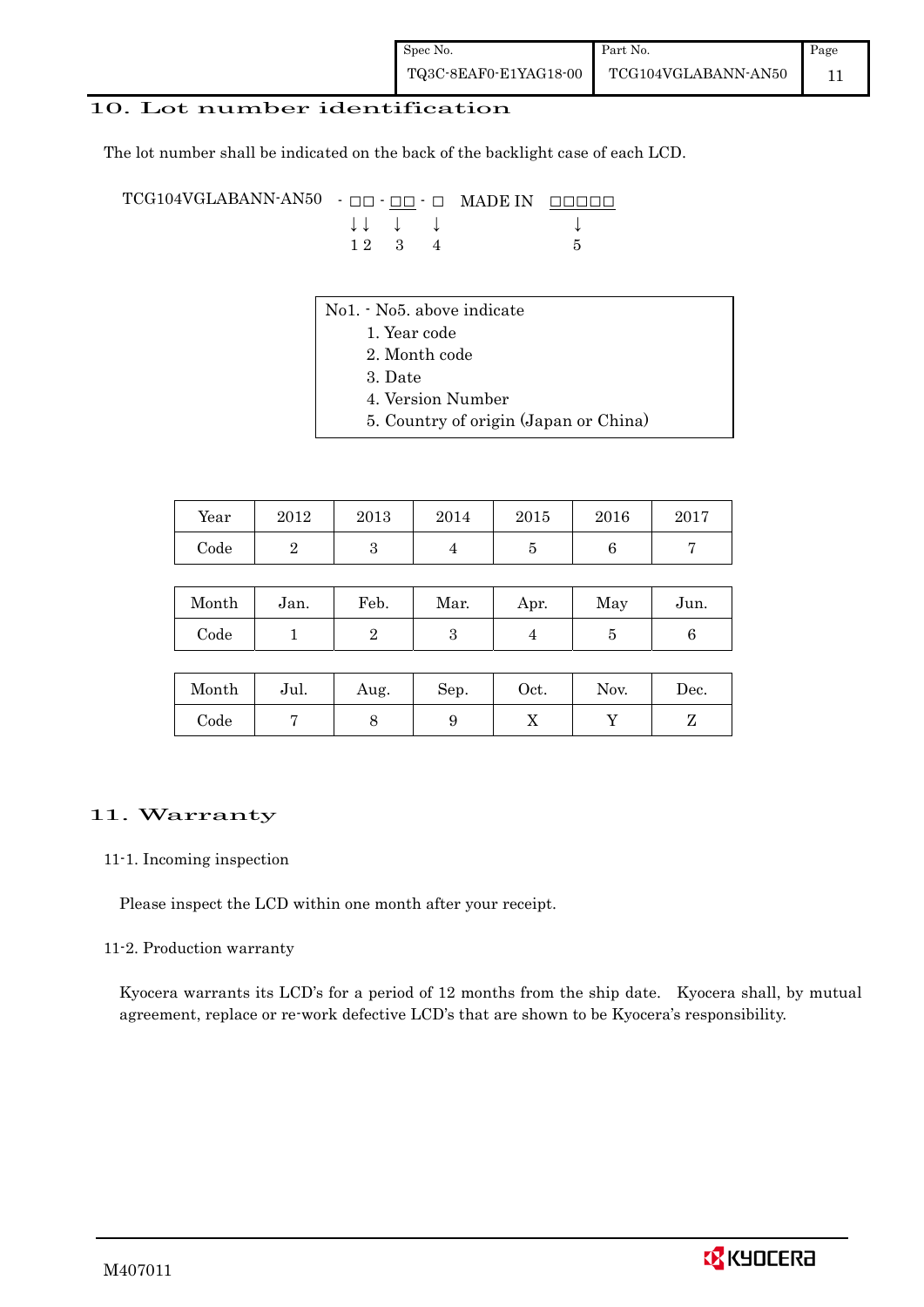## 10. Lot number identification

The lot number shall be indicated on the back of the backlight case of each LCD.

TCG104VGLABANN-AN50 -  $\Box$  $\Box$   $\Box$   $\Box$  MADE IN  $\Box$  $\Box$  $\Box$  $\Box$  $\downarrow \downarrow \quad \downarrow \quad \downarrow$ 1 2 3 4 5

- No1. No5. above indicate
	- 1. Year code
		- 2. Month code
		- 3. Date
		- 4. Version Number
		- 5. Country of origin (Japan or China)

| Year | 2012 | 2013 | 2014 | 2015 | 2016 | 2017 |
|------|------|------|------|------|------|------|
| Code |      | ບ    |      | ౿    |      |      |

| Month | Jan. | Feb. | Mar. | Apr. | May | Jun. |
|-------|------|------|------|------|-----|------|
| Code  |      |      |      |      |     |      |

| Month      | Jul. | Aug. | Sep. | Oct. | Nov. | $\operatorname{Dec.}$ |
|------------|------|------|------|------|------|-----------------------|
| $\rm Code$ |      |      |      | ∡⊾   |      |                       |

## 11. Warranty

#### 11-1. Incoming inspection

Please inspect the LCD within one month after your receipt.

#### 11-2. Production warranty

 Kyocera warrants its LCD's for a period of 12 months from the ship date. Kyocera shall, by mutual agreement, replace or re-work defective LCD's that are shown to be Kyocera's responsibility.

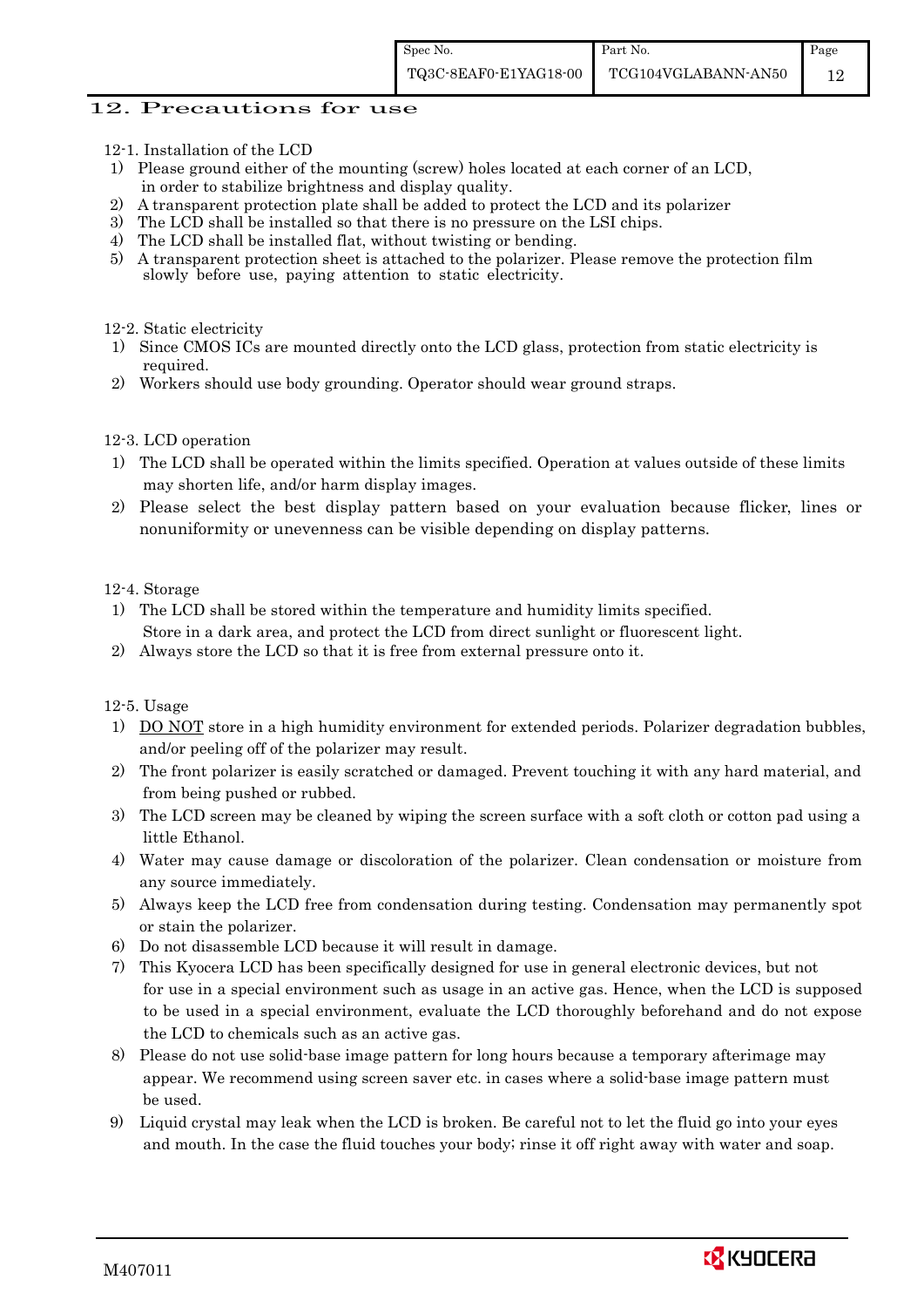### 12. Precautions for use

- 12-1. Installation of the LCD
- 1) Please ground either of the mounting (screw) holes located at each corner of an LCD, in order to stabilize brightness and display quality.
- 2) A transparent protection plate shall be added to protect the LCD and its polarizer
- 3) The LCD shall be installed so that there is no pressure on the LSI chips.
- 4) The LCD shall be installed flat, without twisting or bending.
- 5) A transparent protection sheet is attached to the polarizer. Please remove the protection film slowly before use, paying attention to static electricity.

#### 12-2. Static electricity

- 1) Since CMOS ICs are mounted directly onto the LCD glass, protection from static electricity is required.
- 2) Workers should use body grounding. Operator should wear ground straps.

### 12-3. LCD operation

- 1) The LCD shall be operated within the limits specified. Operation at values outside of these limits may shorten life, and/or harm display images.
- 2) Please select the best display pattern based on your evaluation because flicker, lines or nonuniformity or unevenness can be visible depending on display patterns.

#### 12-4. Storage

- 1) The LCD shall be stored within the temperature and humidity limits specified. Store in a dark area, and protect the LCD from direct sunlight or fluorescent light.
- 2) Always store the LCD so that it is free from external pressure onto it.

## 12-5. Usage

- 1) DO NOT store in a high humidity environment for extended periods. Polarizer degradation bubbles, and/or peeling off of the polarizer may result.
- 2) The front polarizer is easily scratched or damaged. Prevent touching it with any hard material, and from being pushed or rubbed.
- 3) The LCD screen may be cleaned by wiping the screen surface with a soft cloth or cotton pad using a little Ethanol.
- 4) Water may cause damage or discoloration of the polarizer. Clean condensation or moisture from any source immediately.
- 5) Always keep the LCD free from condensation during testing. Condensation may permanently spot or stain the polarizer.
- 6) Do not disassemble LCD because it will result in damage.
- 7) This Kyocera LCD has been specifically designed for use in general electronic devices, but not for use in a special environment such as usage in an active gas. Hence, when the LCD is supposed to be used in a special environment, evaluate the LCD thoroughly beforehand and do not expose the LCD to chemicals such as an active gas.
- 8) Please do not use solid-base image pattern for long hours because a temporary afterimage may appear. We recommend using screen saver etc. in cases where a solid-base image pattern must be used.
- 9) Liquid crystal may leak when the LCD is broken. Be careful not to let the fluid go into your eyes and mouth. In the case the fluid touches your body; rinse it off right away with water and soap.

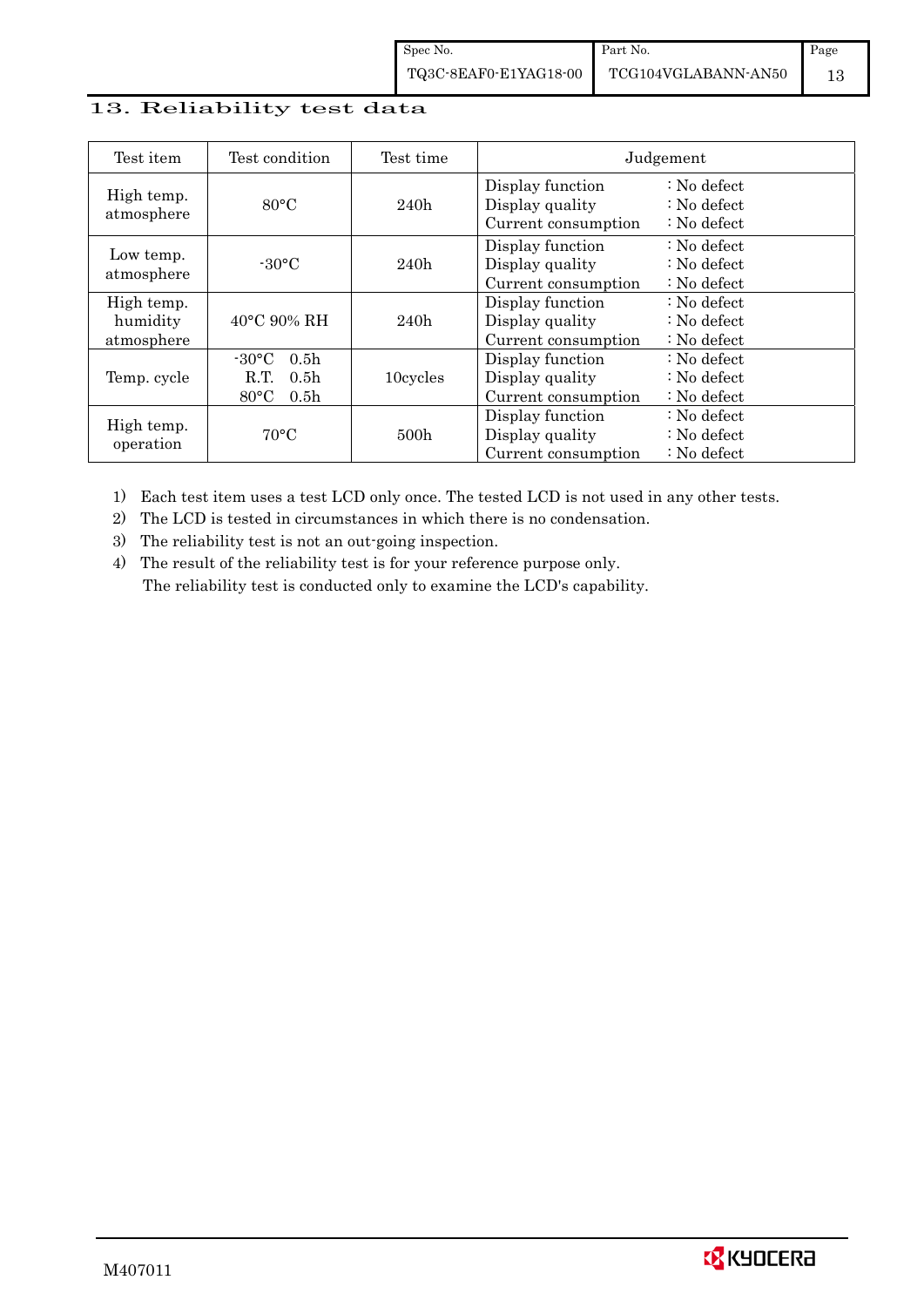## 13. Reliability test data

| Test item                            | Test condition                                                                                        | Test time        |                                                            | Judgement                                                                  |
|--------------------------------------|-------------------------------------------------------------------------------------------------------|------------------|------------------------------------------------------------|----------------------------------------------------------------------------|
| High temp.<br>atmosphere             | $80^{\circ}$ C                                                                                        | 240h             | Display function<br>Display quality<br>Current consumption | $\therefore$ No defect<br>$\therefore$ No defect<br>$\therefore$ No defect |
| Low temp.<br>atmosphere              | $-30$ °C                                                                                              | 240h             | Display function<br>Display quality<br>Current consumption | $\therefore$ No defect<br>: No defect<br>$\therefore$ No defect            |
| High temp.<br>humidity<br>atmosphere | $40^{\circ}$ C 90% RH                                                                                 | 240h             | Display function<br>Display quality<br>Current consumption | : No defect<br>$\therefore$ No defect<br>$\therefore$ No defect            |
| Temp. cycle                          | $-30^{\circ}$ C<br>0.5 <sub>h</sub><br>0.5 <sub>h</sub><br>R.T.<br>$80^{\circ}$ C<br>0.5 <sub>h</sub> | 10cycles         | Display function<br>Display quality<br>Current consumption | $\therefore$ No defect<br>$\therefore$ No defect<br>$\therefore$ No defect |
| High temp.<br>operation              | $70^{\circ}$ C                                                                                        | 500 <sub>h</sub> | Display function<br>Display quality<br>Current consumption | : No defect<br>$\therefore$ No defect<br>$\therefore$ No defect            |

1) Each test item uses a test LCD only once. The tested LCD is not used in any other tests.

2) The LCD is tested in circumstances in which there is no condensation.

3) The reliability test is not an out-going inspection.

4) The result of the reliability test is for your reference purpose only. The reliability test is conducted only to examine the LCD's capability.

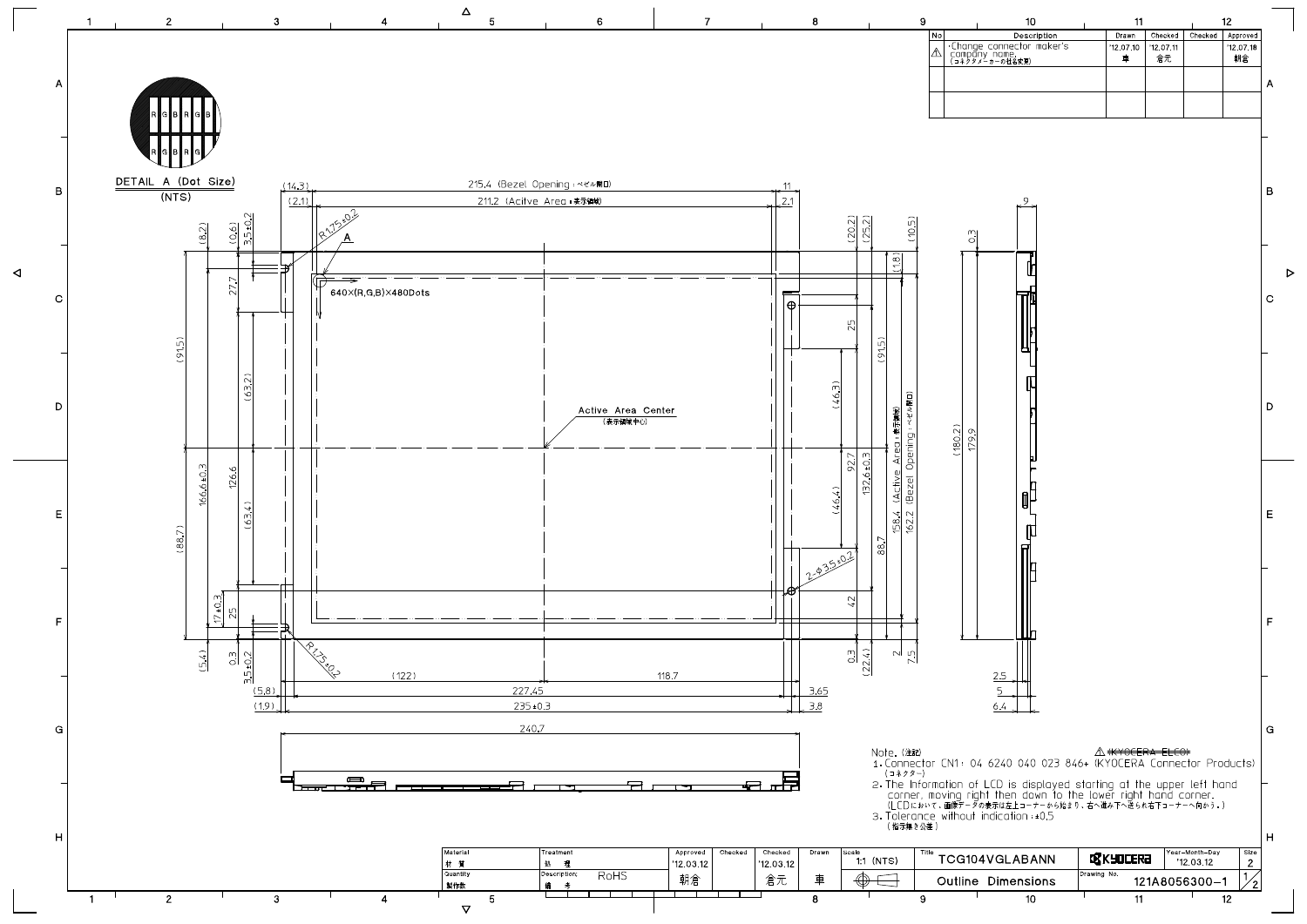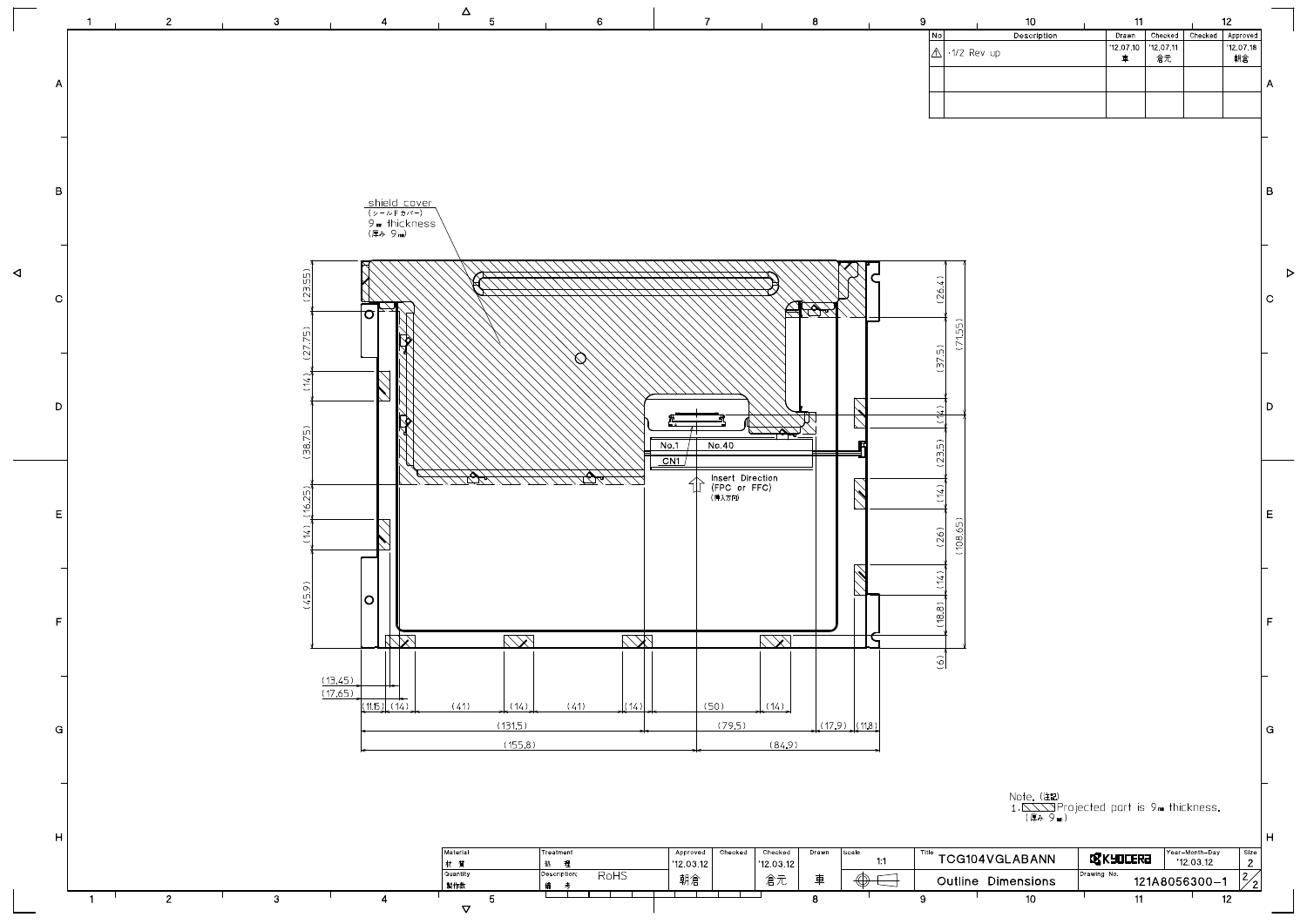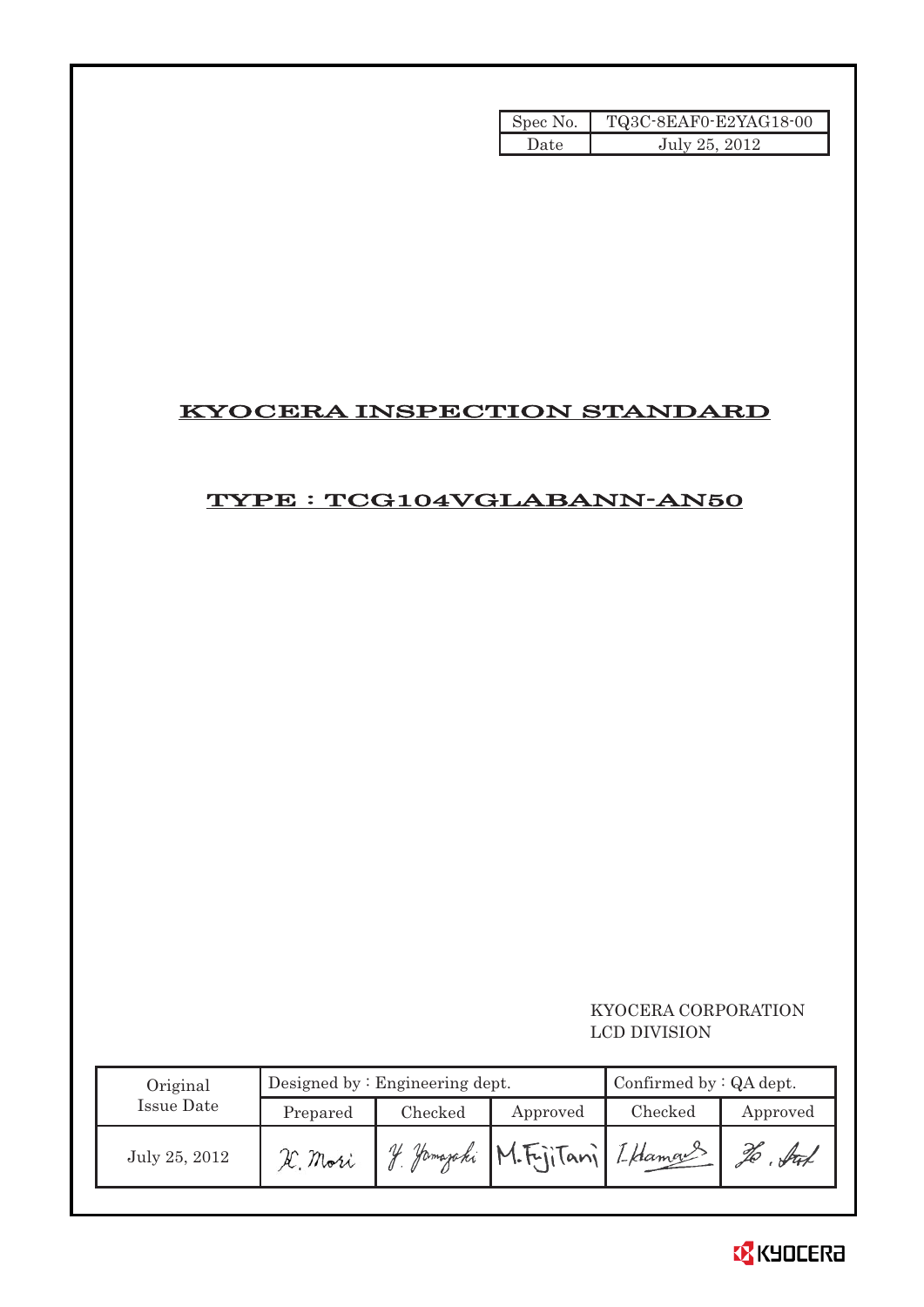| Spec No. | TQ3C-8EAF0-E2YAG18-00 |
|----------|-----------------------|
| Date     | July 25, 2012         |

# KYOCERA INSPECTION STANDARD

# TYPE : TCG104VGLABANN-AN50

## KYOCERA CORPORATION LCD DIVISION

| Original      |          | Designed by $:$ Engineering dept. | Confirmed by $:QA$ dept.       |         |            |
|---------------|----------|-----------------------------------|--------------------------------|---------|------------|
| Issue Date    | Prepared | Checked                           | Approved                       | Checked | Approved   |
| July 25, 2012 | H. Mori  |                                   | 4 Yamazaki M.Fujitani Iklamans |         | , Att<br>% |

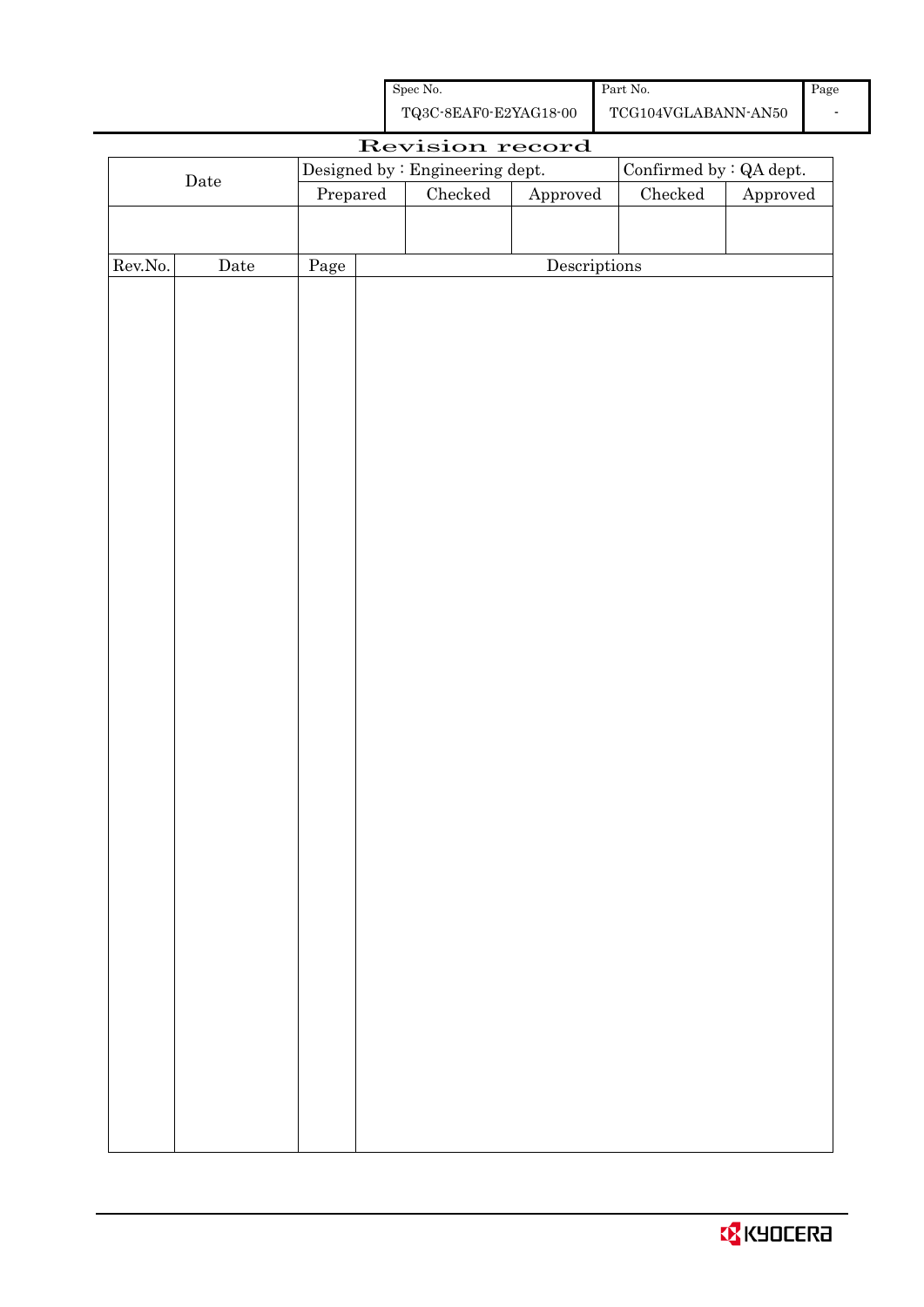| Spec No.              | Part No.            |
|-----------------------|---------------------|
| TQ3C-8EAF0-E2YAG18-00 | TCG104VGLABANN-AN50 |

| Revision record |             |                                 |  |                 |                                      |               |                                |  |  |
|-----------------|-------------|---------------------------------|--|-----------------|--------------------------------------|---------------|--------------------------------|--|--|
| $\rm{Date}$     |             | Designed by : Engineering dept. |  |                 |                                      |               | Confirmed by $\colon$ QA dept. |  |  |
|                 |             | Prepared                        |  | ${\it Checked}$ | ${\Large\bf Approved}$               | $\rm Checked$ | Approved                       |  |  |
|                 |             |                                 |  |                 |                                      |               |                                |  |  |
|                 |             |                                 |  |                 |                                      |               |                                |  |  |
| Rev.No.         | $\rm{Date}$ | Page                            |  |                 | $\label{eq:2} \textbf{Descriptions}$ |               |                                |  |  |
|                 |             |                                 |  |                 |                                      |               |                                |  |  |
|                 |             |                                 |  |                 |                                      |               |                                |  |  |
|                 |             |                                 |  |                 |                                      |               |                                |  |  |
|                 |             |                                 |  |                 |                                      |               |                                |  |  |
|                 |             |                                 |  |                 |                                      |               |                                |  |  |
|                 |             |                                 |  |                 |                                      |               |                                |  |  |
|                 |             |                                 |  |                 |                                      |               |                                |  |  |
|                 |             |                                 |  |                 |                                      |               |                                |  |  |
|                 |             |                                 |  |                 |                                      |               |                                |  |  |
|                 |             |                                 |  |                 |                                      |               |                                |  |  |
|                 |             |                                 |  |                 |                                      |               |                                |  |  |
|                 |             |                                 |  |                 |                                      |               |                                |  |  |
|                 |             |                                 |  |                 |                                      |               |                                |  |  |
|                 |             |                                 |  |                 |                                      |               |                                |  |  |
|                 |             |                                 |  |                 |                                      |               |                                |  |  |
|                 |             |                                 |  |                 |                                      |               |                                |  |  |
|                 |             |                                 |  |                 |                                      |               |                                |  |  |
|                 |             |                                 |  |                 |                                      |               |                                |  |  |
|                 |             |                                 |  |                 |                                      |               |                                |  |  |
|                 |             |                                 |  |                 |                                      |               |                                |  |  |
|                 |             |                                 |  |                 |                                      |               |                                |  |  |
|                 |             |                                 |  |                 |                                      |               |                                |  |  |
|                 |             |                                 |  |                 |                                      |               |                                |  |  |
|                 |             |                                 |  |                 |                                      |               |                                |  |  |
|                 |             |                                 |  |                 |                                      |               |                                |  |  |
|                 |             |                                 |  |                 |                                      |               |                                |  |  |
|                 |             |                                 |  |                 |                                      |               |                                |  |  |
|                 |             |                                 |  |                 |                                      |               |                                |  |  |
|                 |             |                                 |  |                 |                                      |               |                                |  |  |
|                 |             |                                 |  |                 |                                      |               |                                |  |  |
|                 |             |                                 |  |                 |                                      |               |                                |  |  |
|                 |             |                                 |  |                 |                                      |               |                                |  |  |
|                 |             |                                 |  |                 |                                      |               |                                |  |  |
|                 |             |                                 |  |                 |                                      |               |                                |  |  |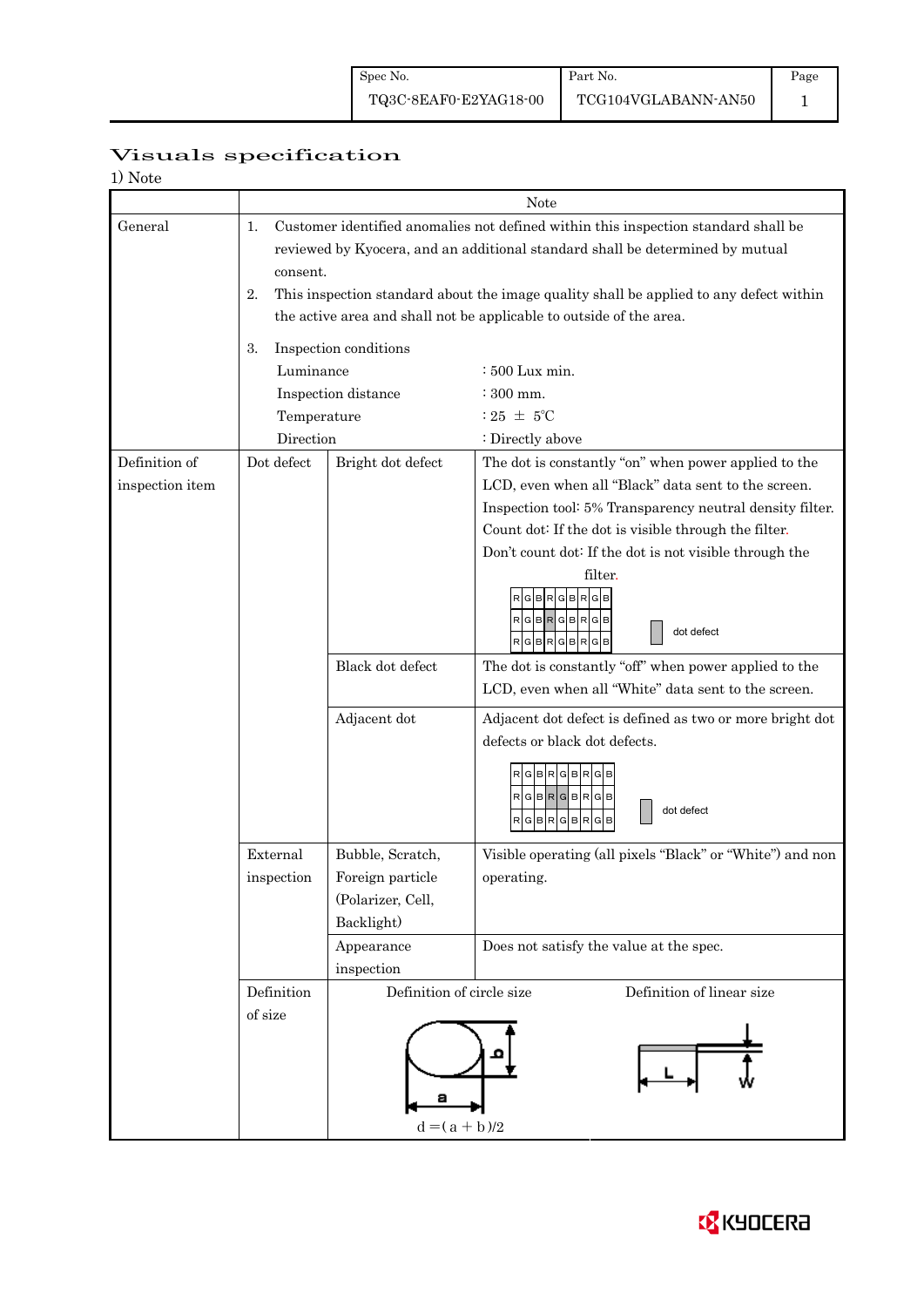Page 1

# Visuals specification

| 1) Note |  |
|---------|--|
|---------|--|

|                 | Note           |                                                                                                                                                                     |                                                                                                                |  |  |  |  |
|-----------------|----------------|---------------------------------------------------------------------------------------------------------------------------------------------------------------------|----------------------------------------------------------------------------------------------------------------|--|--|--|--|
| General         | 1.<br>consent. | Customer identified anomalies not defined within this inspection standard shall be<br>reviewed by Kyocera, and an additional standard shall be determined by mutual |                                                                                                                |  |  |  |  |
|                 | 2.             | This inspection standard about the image quality shall be applied to any defect within<br>the active area and shall not be applicable to outside of the area.       |                                                                                                                |  |  |  |  |
|                 |                |                                                                                                                                                                     |                                                                                                                |  |  |  |  |
|                 | 3.             | Inspection conditions                                                                                                                                               |                                                                                                                |  |  |  |  |
|                 | Luminance      |                                                                                                                                                                     | : 500 Lux min.                                                                                                 |  |  |  |  |
|                 |                | Inspection distance                                                                                                                                                 | $\div$ 300 mm.                                                                                                 |  |  |  |  |
|                 | Temperature    |                                                                                                                                                                     | : 25 $\pm$ 5°C                                                                                                 |  |  |  |  |
|                 | Direction      |                                                                                                                                                                     | : Directly above                                                                                               |  |  |  |  |
| Definition of   | Dot defect     | Bright dot defect                                                                                                                                                   | The dot is constantly "on" when power applied to the                                                           |  |  |  |  |
| inspection item |                |                                                                                                                                                                     | LCD, even when all "Black" data sent to the screen.                                                            |  |  |  |  |
|                 |                |                                                                                                                                                                     | Inspection tool: 5% Transparency neutral density filter.                                                       |  |  |  |  |
|                 |                |                                                                                                                                                                     | Count dot: If the dot is visible through the filter.<br>Don't count dot: If the dot is not visible through the |  |  |  |  |
|                 |                |                                                                                                                                                                     | filter.                                                                                                        |  |  |  |  |
|                 |                |                                                                                                                                                                     | GBRGBRG<br>RGBR<br>GIBI<br>R<br>dot defect<br>RGBRGBR                                                          |  |  |  |  |
|                 |                | Black dot defect                                                                                                                                                    | The dot is constantly "off" when power applied to the                                                          |  |  |  |  |
|                 |                |                                                                                                                                                                     | LCD, even when all "White" data sent to the screen.                                                            |  |  |  |  |
|                 |                | Adjacent dot                                                                                                                                                        | Adjacent dot defect is defined as two or more bright dot                                                       |  |  |  |  |
|                 |                | defects or black dot defects.                                                                                                                                       |                                                                                                                |  |  |  |  |
|                 |                |                                                                                                                                                                     | RGBRGBR<br>$RGBRGBRGB$<br>dot defect<br><b>BR</b><br>G<br>G<br>R<br>B<br>R<br>G                                |  |  |  |  |
|                 | External       | Bubble, Scratch,                                                                                                                                                    | Visible operating (all pixels "Black" or "White") and non                                                      |  |  |  |  |
|                 | inspection     | Foreign particle                                                                                                                                                    | operating.                                                                                                     |  |  |  |  |
|                 |                | (Polarizer, Cell,                                                                                                                                                   |                                                                                                                |  |  |  |  |
|                 |                | Backlight)                                                                                                                                                          |                                                                                                                |  |  |  |  |
|                 |                | Appearance                                                                                                                                                          | Does not satisfy the value at the spec.                                                                        |  |  |  |  |
|                 |                | inspection                                                                                                                                                          |                                                                                                                |  |  |  |  |
|                 | Definition     | Definition of circle size                                                                                                                                           | Definition of linear size                                                                                      |  |  |  |  |
|                 | of size        | $d = (a + b)/2$                                                                                                                                                     |                                                                                                                |  |  |  |  |